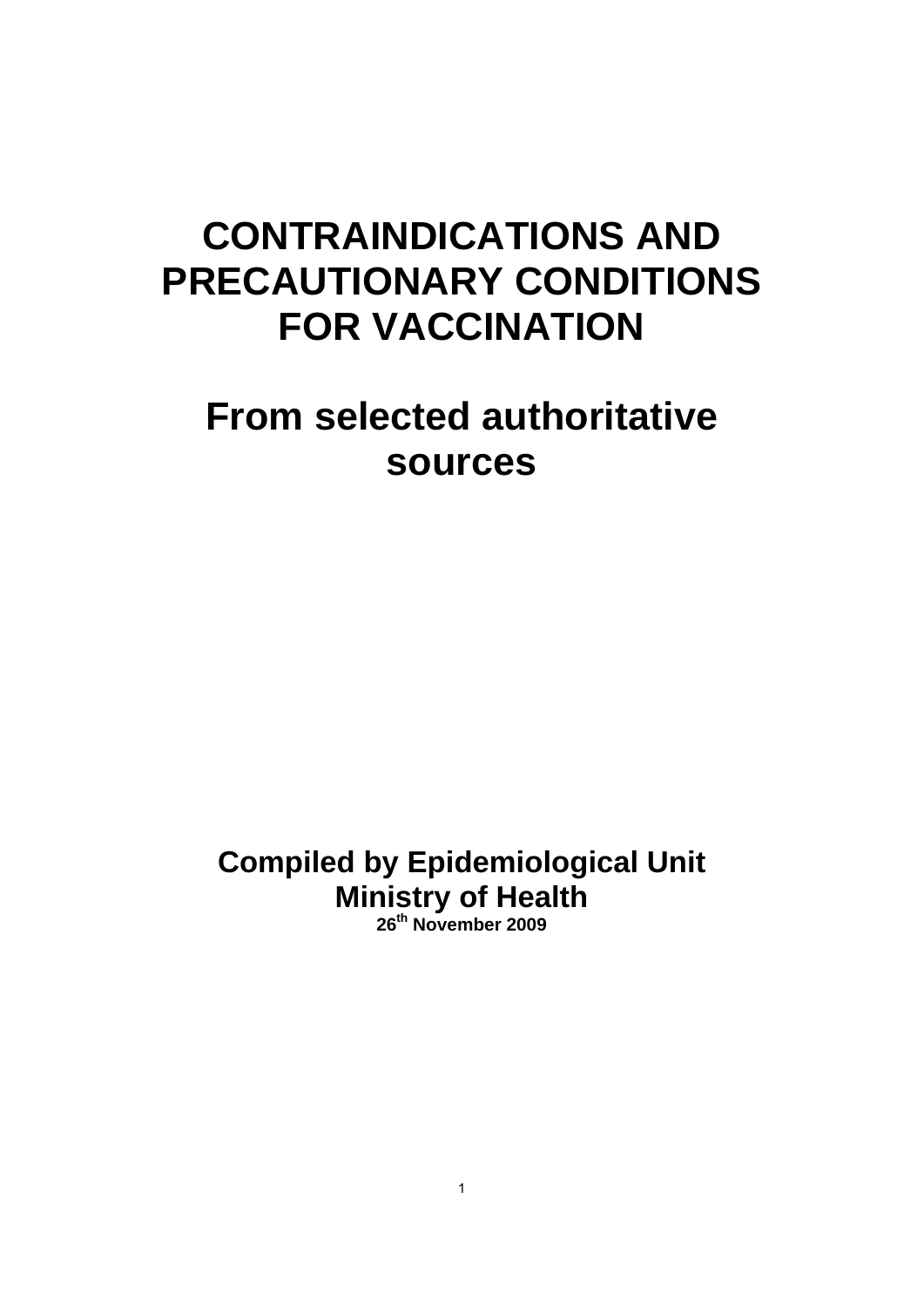# **CONTRAINDICATIONS AND PRECAUTIONARY CONDITIONS FOR VACCINATION**

# **From selected authoritative sources**

**Compiled by Epidemiological Unit Ministry of Health** 

**26th November 2009**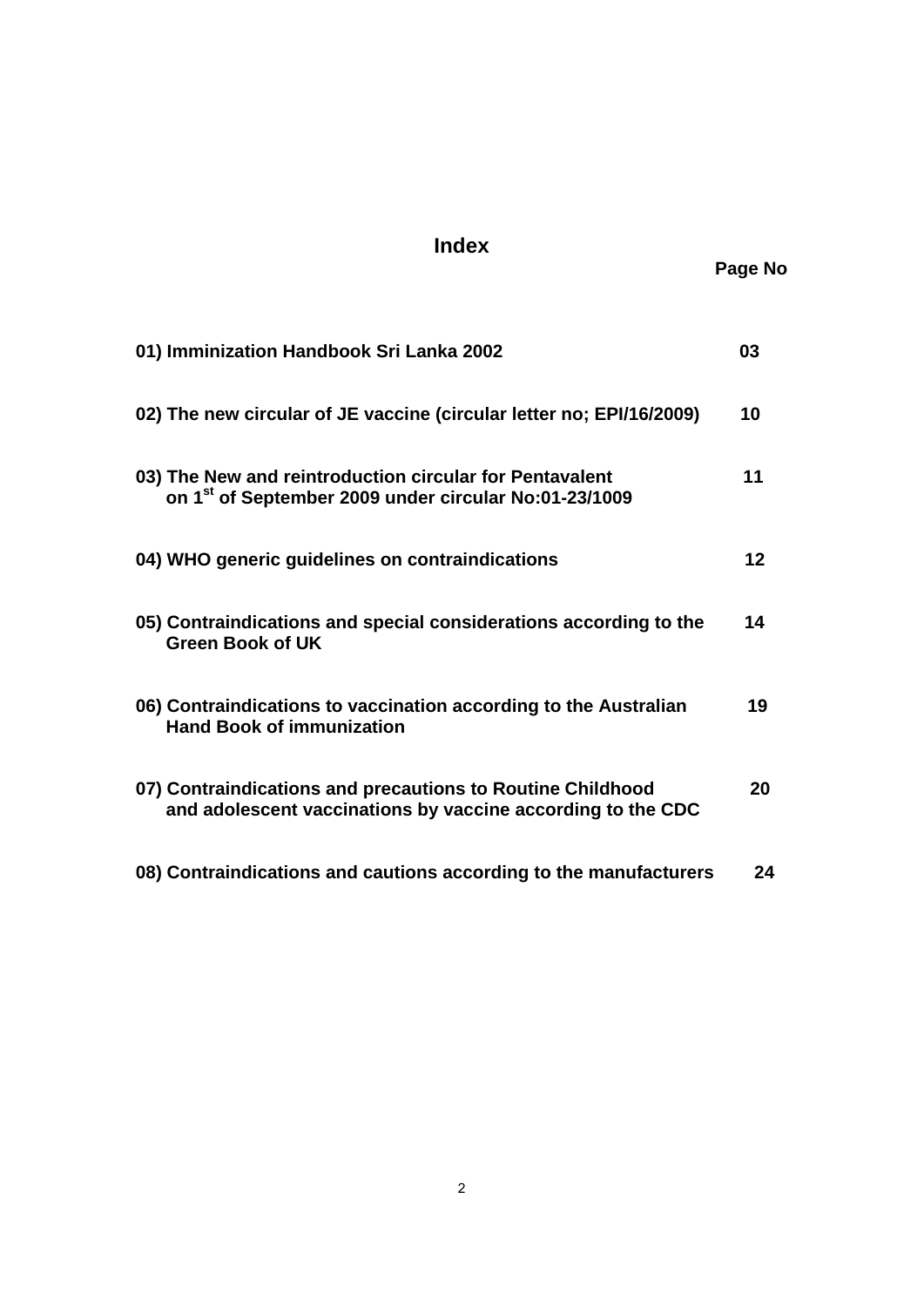## **Index**

| 01) Imminization Handbook Sri Lanka 2002                                                                                     | 03 |
|------------------------------------------------------------------------------------------------------------------------------|----|
| 02) The new circular of JE vaccine (circular letter no; EPI/16/2009)                                                         | 10 |
| 03) The New and reintroduction circular for Pentavalent<br>on 1 <sup>st</sup> of September 2009 under circular No:01-23/1009 | 11 |
| 04) WHO generic guidelines on contraindications                                                                              | 12 |
| 05) Contraindications and special considerations according to the<br><b>Green Book of UK</b>                                 | 14 |
| 06) Contraindications to vaccination according to the Australian<br><b>Hand Book of immunization</b>                         | 19 |
| 07) Contraindications and precautions to Routine Childhood<br>and adolescent vaccinations by vaccine according to the CDC    | 20 |
| 08) Contraindications and cautions according to the manufacturers                                                            | 24 |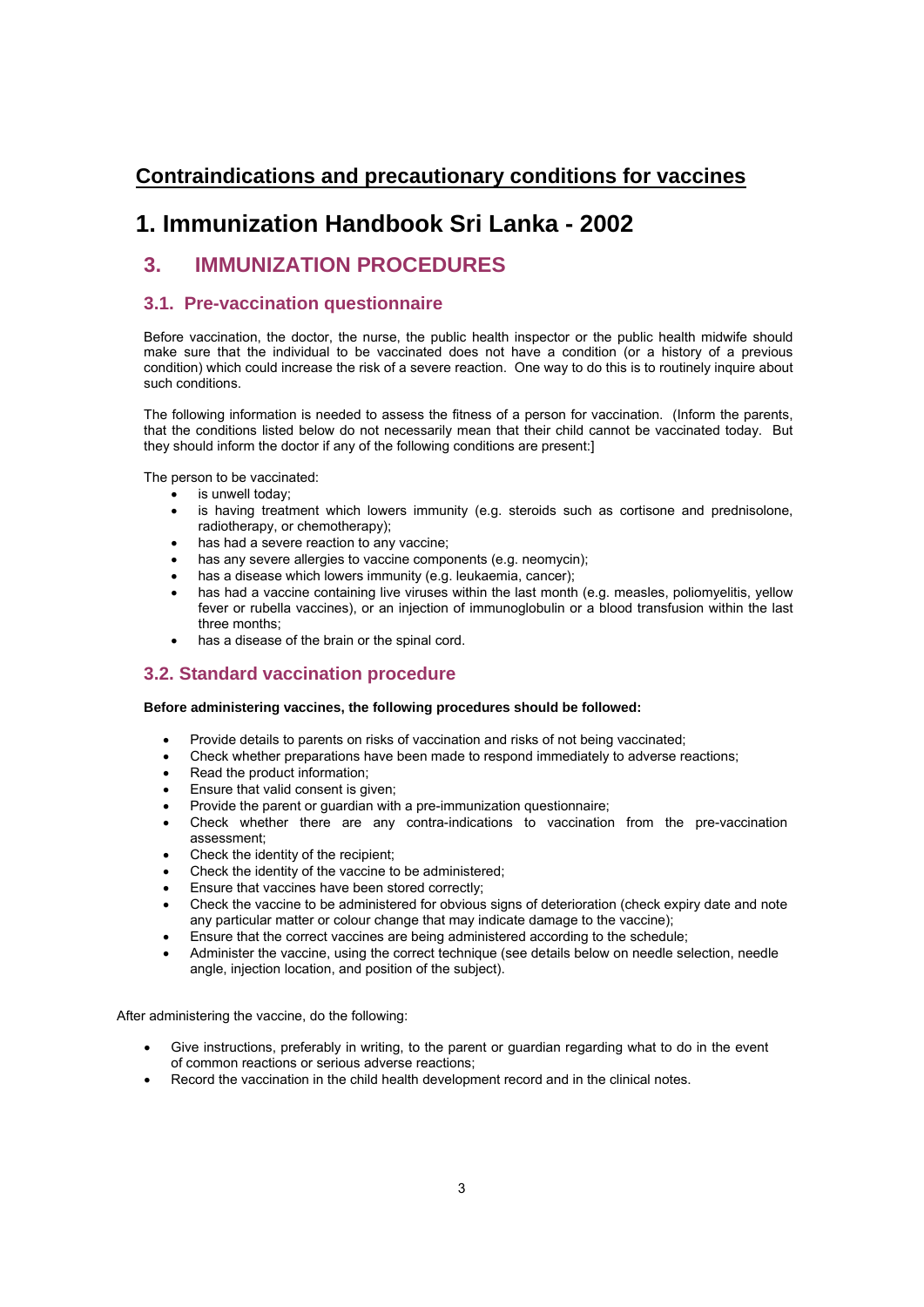### **Contraindications and precautionary conditions for vaccines**

# **1. Immunization Handbook Sri Lanka - 2002**

### **3. IMMUNIZATION PROCEDURES**

### **3.1. Pre-vaccination questionnaire**

Before vaccination, the doctor, the nurse, the public health inspector or the public health midwife should make sure that the individual to be vaccinated does not have a condition (or a history of a previous condition) which could increase the risk of a severe reaction. One way to do this is to routinely inquire about such conditions.

The following information is needed to assess the fitness of a person for vaccination. (Inform the parents, that the conditions listed below do not necessarily mean that their child cannot be vaccinated today. But they should inform the doctor if any of the following conditions are present:]

The person to be vaccinated:

- is unwell today;
- is having treatment which lowers immunity (e.g. steroids such as cortisone and prednisolone, radiotherapy, or chemotherapy);
- has had a severe reaction to any vaccine;
- has any severe allergies to vaccine components (e.g. neomycin);
- has a disease which lowers immunity (e.g. leukaemia, cancer);
- has had a vaccine containing live viruses within the last month (e.g. measles, poliomyelitis, yellow fever or rubella vaccines), or an injection of immunoglobulin or a blood transfusion within the last three months;
- has a disease of the brain or the spinal cord.

### **3.2. Standard vaccination procedure**

#### **Before administering vaccines, the following procedures should be followed:**

- Provide details to parents on risks of vaccination and risks of not being vaccinated;
- Check whether preparations have been made to respond immediately to adverse reactions;
- Read the product information;
- Ensure that valid consent is given;
- Provide the parent or guardian with a pre-immunization questionnaire;
- Check whether there are any contra-indications to vaccination from the pre-vaccination assessment;
- Check the identity of the recipient;
- Check the identity of the vaccine to be administered;
- Ensure that vaccines have been stored correctly;
- Check the vaccine to be administered for obvious signs of deterioration (check expiry date and note any particular matter or colour change that may indicate damage to the vaccine);
- Ensure that the correct vaccines are being administered according to the schedule;
- Administer the vaccine, using the correct technique (see details below on needle selection, needle angle, injection location, and position of the subject).

After administering the vaccine, do the following:

- Give instructions, preferably in writing, to the parent or guardian regarding what to do in the event of common reactions or serious adverse reactions;
- Record the vaccination in the child health development record and in the clinical notes.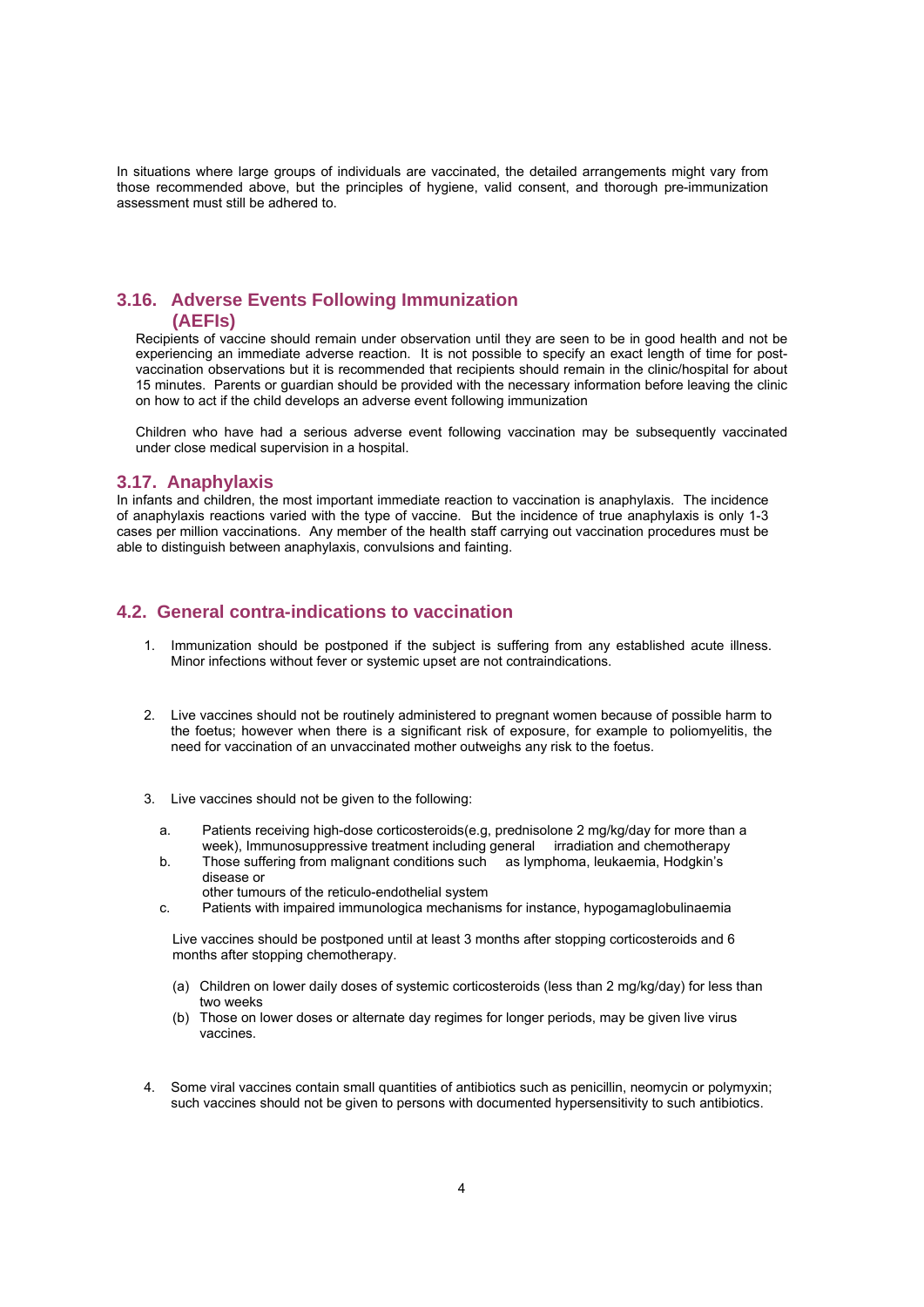In situations where large groups of individuals are vaccinated, the detailed arrangements might vary from those recommended above, but the principles of hygiene, valid consent, and thorough pre-immunization assessment must still be adhered to.

#### **3.16. Adverse Events Following Immunization (AEFIs)**

Recipients of vaccine should remain under observation until they are seen to be in good health and not be experiencing an immediate adverse reaction. It is not possible to specify an exact length of time for postvaccination observations but it is recommended that recipients should remain in the clinic/hospital for about 15 minutes. Parents or guardian should be provided with the necessary information before leaving the clinic on how to act if the child develops an adverse event following immunization

Children who have had a serious adverse event following vaccination may be subsequently vaccinated under close medical supervision in a hospital.

#### **3.17. Anaphylaxis**

In infants and children, the most important immediate reaction to vaccination is anaphylaxis. The incidence of anaphylaxis reactions varied with the type of vaccine. But the incidence of true anaphylaxis is only 1-3 cases per million vaccinations. Any member of the health staff carrying out vaccination procedures must be able to distinguish between anaphylaxis, convulsions and fainting.

#### **4.2. General contra-indications to vaccination**

- 1. Immunization should be postponed if the subject is suffering from any established acute illness. Minor infections without fever or systemic upset are not contraindications.
- 2. Live vaccines should not be routinely administered to pregnant women because of possible harm to the foetus; however when there is a significant risk of exposure, for example to poliomyelitis, the need for vaccination of an unvaccinated mother outweighs any risk to the foetus.
- 3. Live vaccines should not be given to the following:
	- a. Patients receiving high-dose corticosteroids(e.g, prednisolone 2 mg/kg/day for more than a week), Immunosuppressive treatment including general irradiation and chemotherapy
	- b. Those suffering from malignant conditions such as lymphoma, leukaemia, Hodgkin's disease or
		- other tumours of the reticulo-endothelial system
	- c. Patients with impaired immunologica mechanisms for instance, hypogamaglobulinaemia

Live vaccines should be postponed until at least 3 months after stopping corticosteroids and 6 months after stopping chemotherapy.

- (a) Children on lower daily doses of systemic corticosteroids (less than 2 mg/kg/day) for less than two weeks
- (b) Those on lower doses or alternate day regimes for longer periods, may be given live virus vaccines.
- 4. Some viral vaccines contain small quantities of antibiotics such as penicillin, neomycin or polymyxin; such vaccines should not be given to persons with documented hypersensitivity to such antibiotics.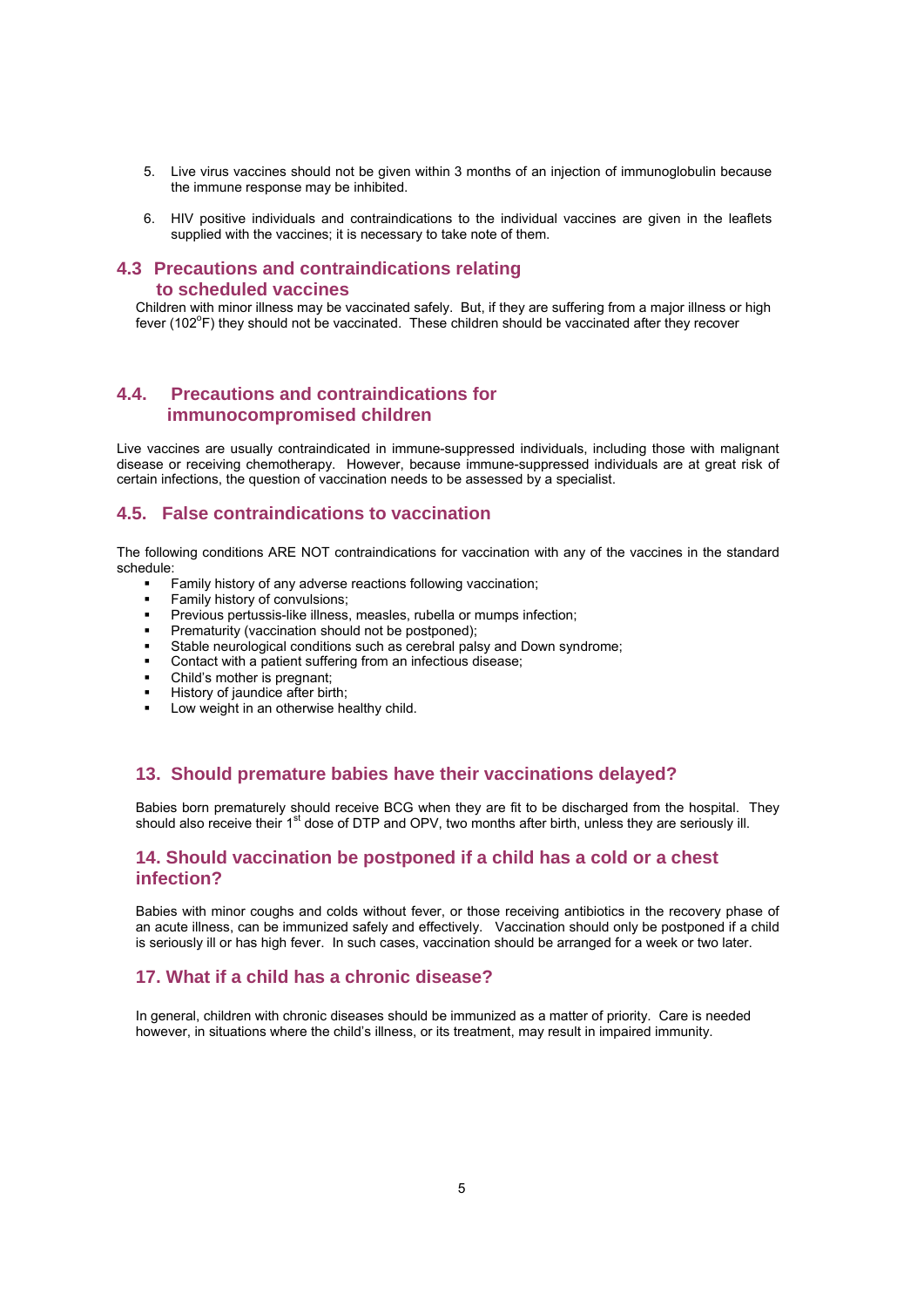- 5. Live virus vaccines should not be given within 3 months of an injection of immunoglobulin because the immune response may be inhibited.
- 6. HIV positive individuals and contraindications to the individual vaccines are given in the leaflets supplied with the vaccines; it is necessary to take note of them.

### **4.3 Precautions and contraindications relating to scheduled vaccines**

Children with minor illness may be vaccinated safely. But, if they are suffering from a major illness or high fever (102°F) they should not be vaccinated. These children should be vaccinated after they recover

### **4.4. Precautions and contraindications for immunocompromised children**

Live vaccines are usually contraindicated in immune-suppressed individuals, including those with malignant disease or receiving chemotherapy. However, because immune-suppressed individuals are at great risk of certain infections, the question of vaccination needs to be assessed by a specialist.

### **4.5. False contraindications to vaccination**

The following conditions ARE NOT contraindications for vaccination with any of the vaccines in the standard schedule:

- Family history of any adverse reactions following vaccination;
- Family history of convulsions;
- Previous pertussis-like illness, measles, rubella or mumps infection;
- Prematurity (vaccination should not be postponed);
- Stable neurological conditions such as cerebral palsy and Down syndrome;
- Contact with a patient suffering from an infectious disease;
- Child's mother is pregnant;
- History of jaundice after birth;
- Low weight in an otherwise healthy child.

### **13. Should premature babies have their vaccinations delayed?**

Babies born prematurely should receive BCG when they are fit to be discharged from the hospital. They should also receive their 1<sup>st</sup> dose of DTP and OPV, two months after birth, unless they are seriously ill.

### **14. Should vaccination be postponed if a child has a cold or a chest infection?**

Babies with minor coughs and colds without fever, or those receiving antibiotics in the recovery phase of an acute illness, can be immunized safely and effectively. Vaccination should only be postponed if a child is seriously ill or has high fever. In such cases, vaccination should be arranged for a week or two later.

### **17. What if a child has a chronic disease?**

In general, children with chronic diseases should be immunized as a matter of priority. Care is needed however, in situations where the child's illness, or its treatment, may result in impaired immunity.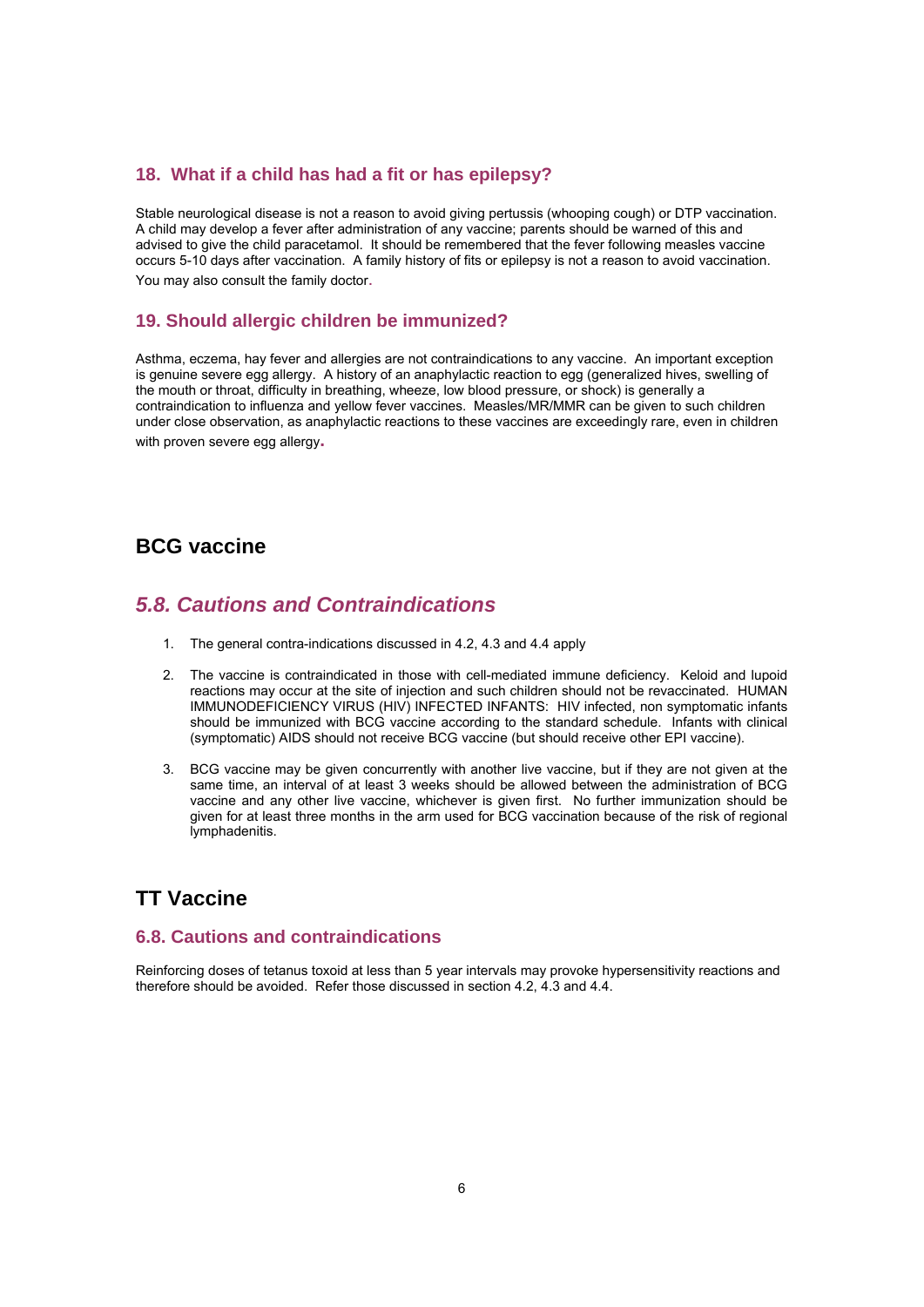### **18. What if a child has had a fit or has epilepsy?**

Stable neurological disease is not a reason to avoid giving pertussis (whooping cough) or DTP vaccination. A child may develop a fever after administration of any vaccine; parents should be warned of this and advised to give the child paracetamol. It should be remembered that the fever following measles vaccine occurs 5-10 days after vaccination. A family history of fits or epilepsy is not a reason to avoid vaccination. You may also consult the family doctor.

#### **19. Should allergic children be immunized?**

Asthma, eczema, hay fever and allergies are not contraindications to any vaccine. An important exception is genuine severe egg allergy. A history of an anaphylactic reaction to egg (generalized hives, swelling of the mouth or throat, difficulty in breathing, wheeze, low blood pressure, or shock) is generally a contraindication to influenza and yellow fever vaccines. Measles/MR/MMR can be given to such children under close observation, as anaphylactic reactions to these vaccines are exceedingly rare, even in children with proven severe egg allergy**.** 

### **BCG vaccine**

### *5.8. Cautions and Contraindications*

- 1. The general contra-indications discussed in 4.2, 4.3 and 4.4 apply
- 2. The vaccine is contraindicated in those with cell-mediated immune deficiency. Keloid and lupoid reactions may occur at the site of injection and such children should not be revaccinated. HUMAN IMMUNODEFICIENCY VIRUS (HIV) INFECTED INFANTS: HIV infected, non symptomatic infants should be immunized with BCG vaccine according to the standard schedule. Infants with clinical (symptomatic) AIDS should not receive BCG vaccine (but should receive other EPI vaccine).
- 3. BCG vaccine may be given concurrently with another live vaccine, but if they are not given at the same time, an interval of at least 3 weeks should be allowed between the administration of BCG vaccine and any other live vaccine, whichever is given first. No further immunization should be given for at least three months in the arm used for BCG vaccination because of the risk of regional lymphadenitis.

### **TT Vaccine**

### **6.8. Cautions and contraindications**

Reinforcing doses of tetanus toxoid at less than 5 year intervals may provoke hypersensitivity reactions and therefore should be avoided. Refer those discussed in section 4.2, 4.3 and 4.4.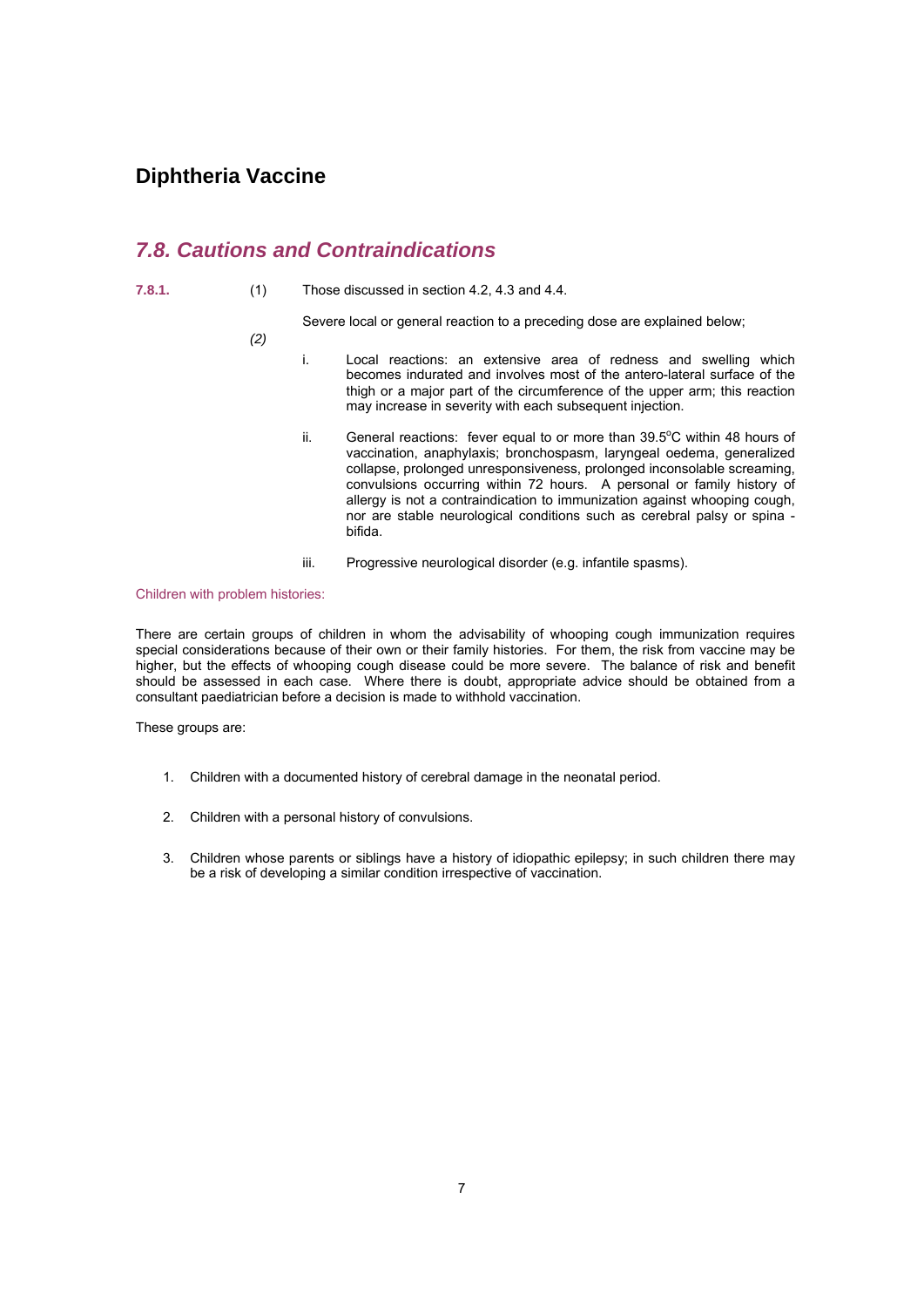### **Diphtheria Vaccine**

### *7.8. Cautions and Contraindications*

**7.8.1.** (1) Those discussed in section 4.2, 4.3 and 4.4.

Severe local or general reaction to a preceding dose are explained below;

- *(2)*
- i. Local reactions: an extensive area of redness and swelling which becomes indurated and involves most of the antero-lateral surface of the thigh or a major part of the circumference of the upper arm; this reaction may increase in severity with each subsequent injection.
- ii. General reactions: fever equal to or more than  $39.5^{\circ}$ C within 48 hours of vaccination, anaphylaxis; bronchospasm, laryngeal oedema, generalized collapse, prolonged unresponsiveness, prolonged inconsolable screaming, convulsions occurring within 72 hours. A personal or family history of allergy is not a contraindication to immunization against whooping cough, nor are stable neurological conditions such as cerebral palsy or spina bifida.
	- iii. Progressive neurological disorder (e.g. infantile spasms).

#### Children with problem histories:

There are certain groups of children in whom the advisability of whooping cough immunization requires special considerations because of their own or their family histories. For them, the risk from vaccine may be higher, but the effects of whooping cough disease could be more severe. The balance of risk and benefit should be assessed in each case. Where there is doubt, appropriate advice should be obtained from a consultant paediatrician before a decision is made to withhold vaccination.

These groups are:

- 1. Children with a documented history of cerebral damage in the neonatal period.
- 2. Children with a personal history of convulsions.
- 3. Children whose parents or siblings have a history of idiopathic epilepsy; in such children there may be a risk of developing a similar condition irrespective of vaccination.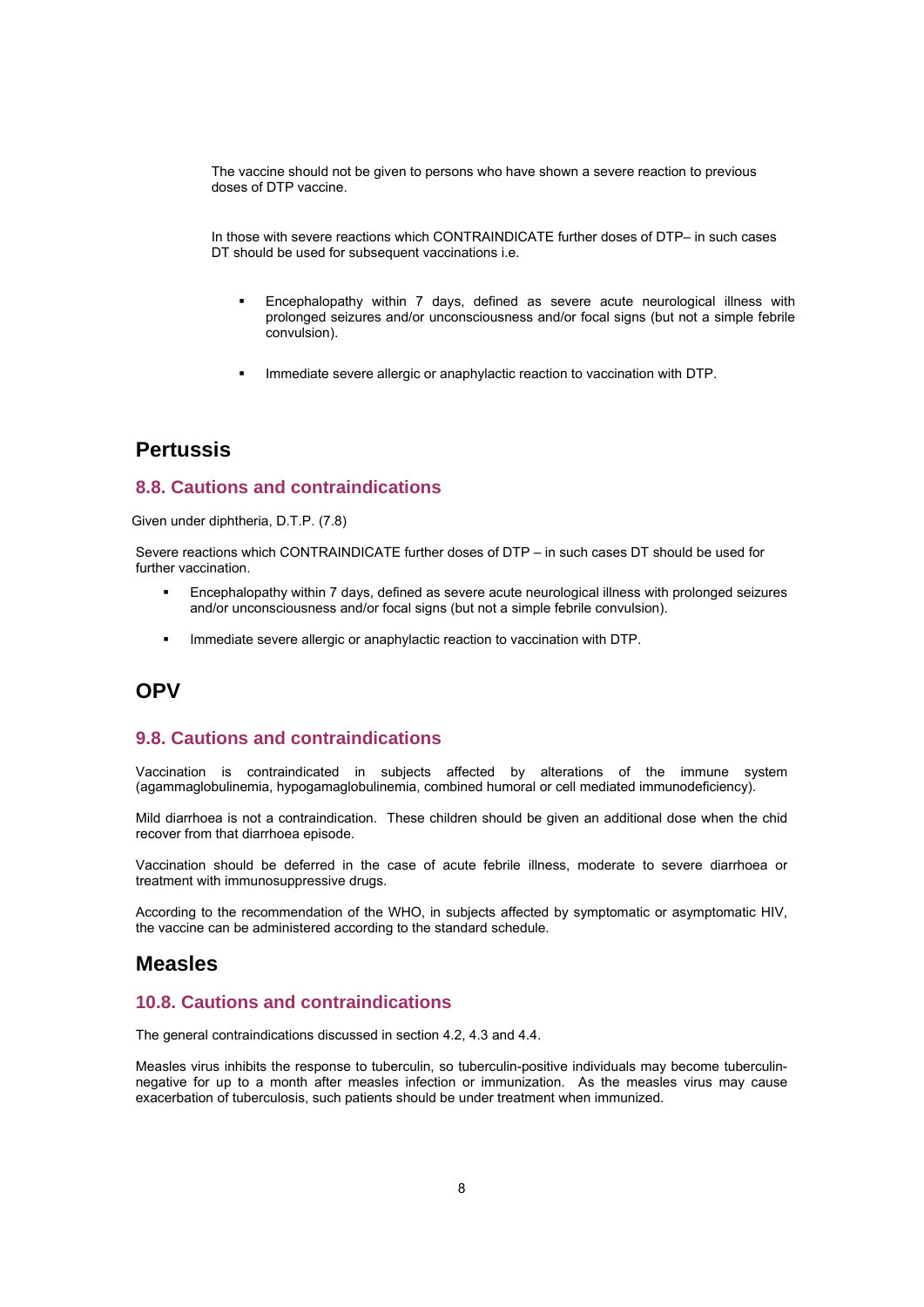The vaccine should not be given to persons who have shown a severe reaction to previous doses of DTP vaccine.

In those with severe reactions which CONTRAINDICATE further doses of DTP– in such cases DT should be used for subsequent vaccinations i.e.

- Encephalopathy within 7 days, defined as severe acute neurological illness with prolonged seizures and/or unconsciousness and/or focal signs (but not a simple febrile convulsion).
- Immediate severe allergic or anaphylactic reaction to vaccination with DTP.

### **Pertussis**

#### **8.8. Cautions and contraindications**

Given under diphtheria, D.T.P. (7.8)

Severe reactions which CONTRAINDICATE further doses of DTP – in such cases DT should be used for further vaccination.

- Encephalopathy within 7 days, defined as severe acute neurological illness with prolonged seizures and/or unconsciousness and/or focal signs (but not a simple febrile convulsion).
- **Immediate severe allergic or anaphylactic reaction to vaccination with DTP.**

### **OPV**

### **9.8. Cautions and contraindications**

Vaccination is contraindicated in subjects affected by alterations of the immune system (agammaglobulinemia, hypogamaglobulinemia, combined humoral or cell mediated immunodeficiency).

Mild diarrhoea is not a contraindication. These children should be given an additional dose when the chid recover from that diarrhoea episode.

Vaccination should be deferred in the case of acute febrile illness, moderate to severe diarrhoea or treatment with immunosuppressive drugs.

According to the recommendation of the WHO, in subjects affected by symptomatic or asymptomatic HIV, the vaccine can be administered according to the standard schedule.

### **Measles**

### **10.8. Cautions and contraindications**

The general contraindications discussed in section 4.2, 4.3 and 4.4.

Measles virus inhibits the response to tuberculin, so tuberculin-positive individuals may become tuberculinnegative for up to a month after measles infection or immunization. As the measles virus may cause exacerbation of tuberculosis, such patients should be under treatment when immunized.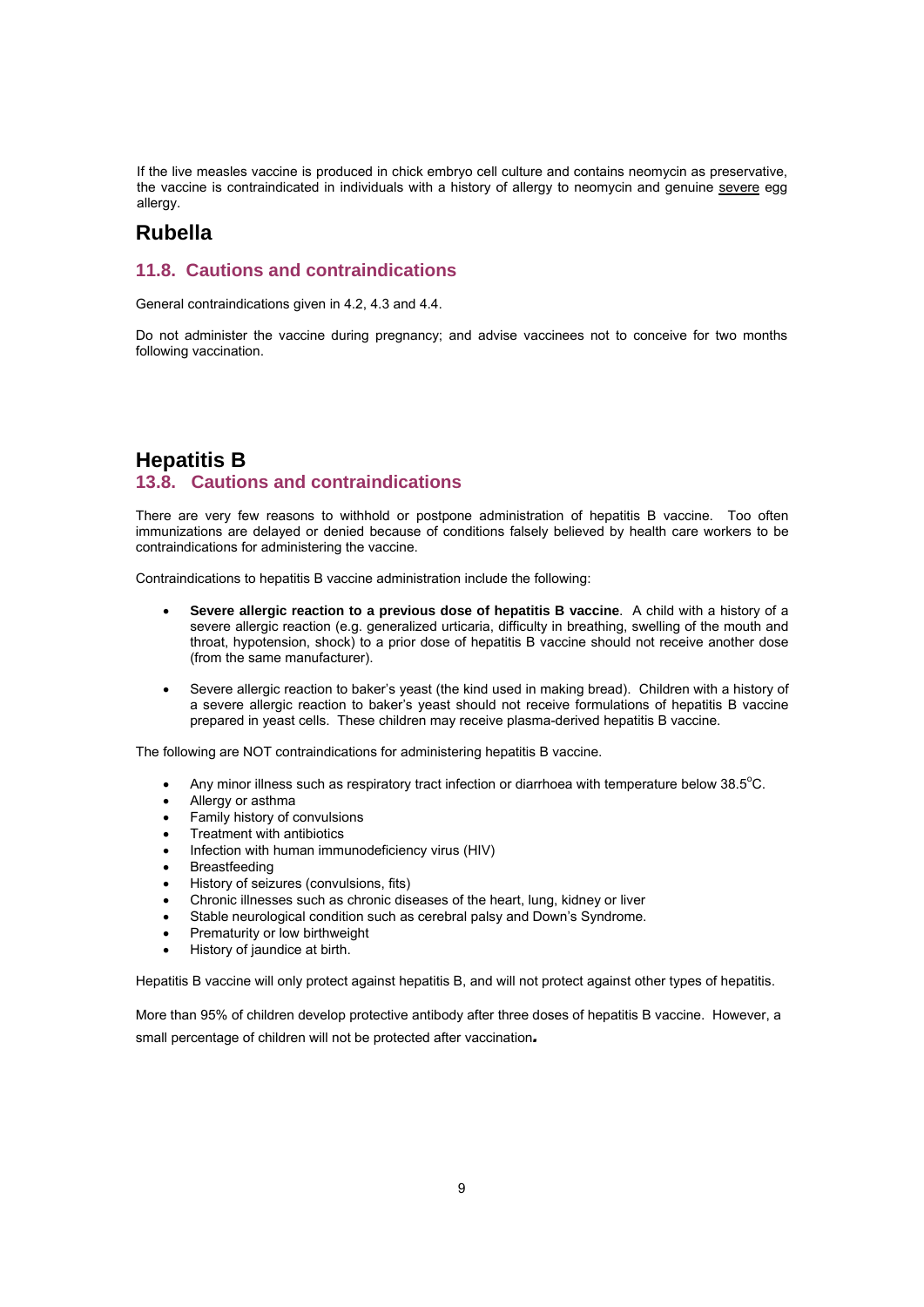If the live measles vaccine is produced in chick embryo cell culture and contains neomycin as preservative, the vaccine is contraindicated in individuals with a history of allergy to neomycin and genuine severe egg allergy.

### **Rubella**

### **11.8. Cautions and contraindications**

General contraindications given in 4.2, 4.3 and 4.4.

Do not administer the vaccine during pregnancy; and advise vaccinees not to conceive for two months following vaccination.

### **Hepatitis B**

#### **13.8. Cautions and contraindications**

There are very few reasons to withhold or postpone administration of hepatitis B vaccine. Too often immunizations are delayed or denied because of conditions falsely believed by health care workers to be contraindications for administering the vaccine.

Contraindications to hepatitis B vaccine administration include the following:

- **Severe allergic reaction to a previous dose of hepatitis B vaccine**. A child with a history of a severe allergic reaction (e.g. generalized urticaria, difficulty in breathing, swelling of the mouth and throat, hypotension, shock) to a prior dose of hepatitis B vaccine should not receive another dose (from the same manufacturer).
- Severe allergic reaction to baker's yeast (the kind used in making bread). Children with a history of a severe allergic reaction to baker's yeast should not receive formulations of hepatitis B vaccine prepared in yeast cells. These children may receive plasma-derived hepatitis B vaccine.

The following are NOT contraindications for administering hepatitis B vaccine.

- Any minor illness such as respiratory tract infection or diarrhoea with temperature below  $38.5^{\circ}$ C.
- Allergy or asthma
- Family history of convulsions
- Treatment with antibiotics
- Infection with human immunodeficiency virus (HIV)
- Breastfeeding
- History of seizures (convulsions, fits)
- Chronic illnesses such as chronic diseases of the heart, lung, kidney or liver
- Stable neurological condition such as cerebral palsy and Down's Syndrome.
- Prematurity or low birthweight
- History of jaundice at birth.

Hepatitis B vaccine will only protect against hepatitis B, and will not protect against other types of hepatitis.

More than 95% of children develop protective antibody after three doses of hepatitis B vaccine. However, a small percentage of children will not be protected after vaccination*.*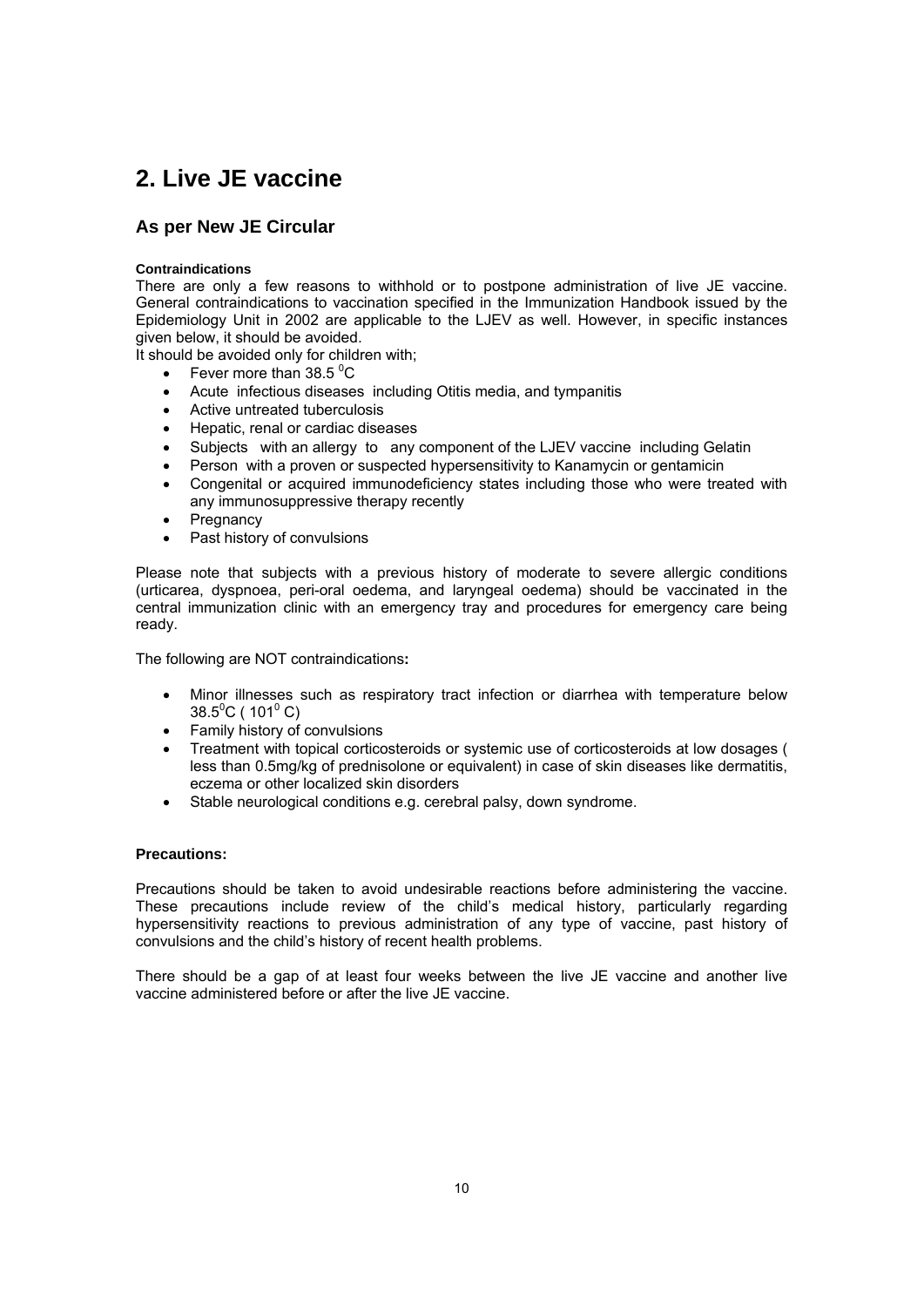# **2. Live JE vaccine**

### **As per New JE Circular**

#### **Contraindications**

There are only a few reasons to withhold or to postpone administration of live JE vaccine. General contraindications to vaccination specified in the Immunization Handbook issued by the Epidemiology Unit in 2002 are applicable to the LJEV as well. However, in specific instances given below, it should be avoided.

It should be avoided only for children with;

- Fever more than  $38.5\,^0\text{C}$
- Acute infectious diseases including Otitis media, and tympanitis
- Active untreated tuberculosis
- Hepatic, renal or cardiac diseases
- Subjects with an allergy to any component of the LJEV vaccine including Gelatin
- Person with a proven or suspected hypersensitivity to Kanamycin or gentamicin
- Congenital or acquired immunodeficiency states including those who were treated with any immunosuppressive therapy recently
- Pregnancy
- Past history of convulsions

Please note that subjects with a previous history of moderate to severe allergic conditions (urticarea, dyspnoea, peri-oral oedema, and laryngeal oedema) should be vaccinated in the central immunization clinic with an emergency tray and procedures for emergency care being ready.

The following are NOT contraindications**:** 

- Minor illnesses such as respiratory tract infection or diarrhea with temperature below  $38.5^{\circ}$ C (101 $^{\circ}$  C)
- Family history of convulsions
- Treatment with topical corticosteroids or systemic use of corticosteroids at low dosages ( less than 0.5mg/kg of prednisolone or equivalent) in case of skin diseases like dermatitis, eczema or other localized skin disorders
- Stable neurological conditions e.g. cerebral palsy, down syndrome.

#### **Precautions:**

Precautions should be taken to avoid undesirable reactions before administering the vaccine. These precautions include review of the child's medical history, particularly regarding hypersensitivity reactions to previous administration of any type of vaccine, past history of convulsions and the child's history of recent health problems.

There should be a gap of at least four weeks between the live JE vaccine and another live vaccine administered before or after the live JE vaccine.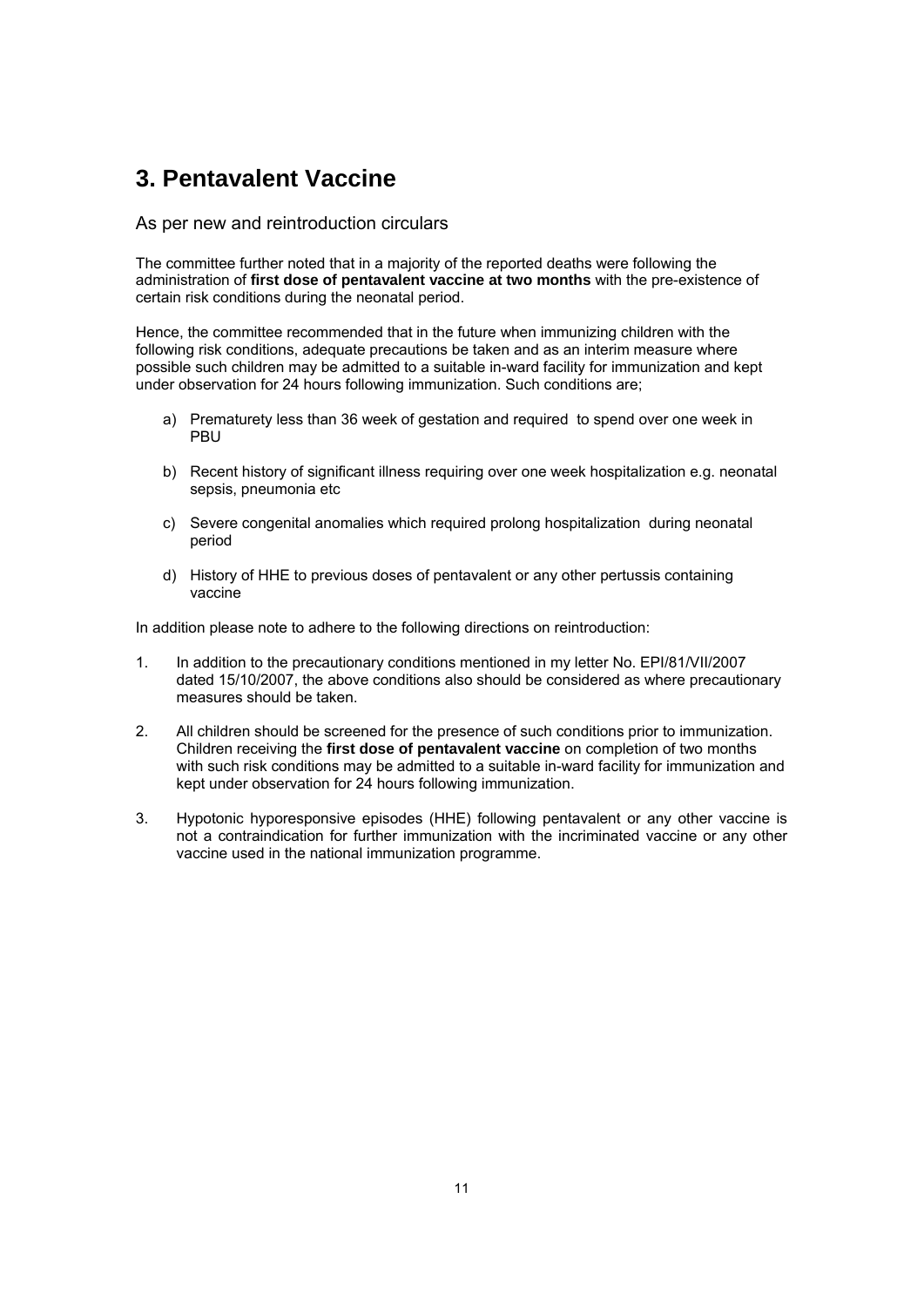# **3. Pentavalent Vaccine**

#### As per new and reintroduction circulars

The committee further noted that in a majority of the reported deaths were following the administration of **first dose of pentavalent vaccine at two months** with the pre-existence of certain risk conditions during the neonatal period.

Hence, the committee recommended that in the future when immunizing children with the following risk conditions, adequate precautions be taken and as an interim measure where possible such children may be admitted to a suitable in-ward facility for immunization and kept under observation for 24 hours following immunization. Such conditions are;

- a) Prematurety less than 36 week of gestation and required to spend over one week in **PBU**
- b) Recent history of significant illness requiring over one week hospitalization e.g. neonatal sepsis, pneumonia etc
- c) Severe congenital anomalies which required prolong hospitalization during neonatal period
- d) History of HHE to previous doses of pentavalent or any other pertussis containing vaccine

In addition please note to adhere to the following directions on reintroduction:

- 1. In addition to the precautionary conditions mentioned in my letter No. EPI/81/VII/2007 dated 15/10/2007, the above conditions also should be considered as where precautionary measures should be taken.
- 2. All children should be screened for the presence of such conditions prior to immunization. Children receiving the **first dose of pentavalent vaccine** on completion of two months with such risk conditions may be admitted to a suitable in-ward facility for immunization and kept under observation for 24 hours following immunization.
- 3. Hypotonic hyporesponsive episodes (HHE) following pentavalent or any other vaccine is not a contraindication for further immunization with the incriminated vaccine or any other vaccine used in the national immunization programme.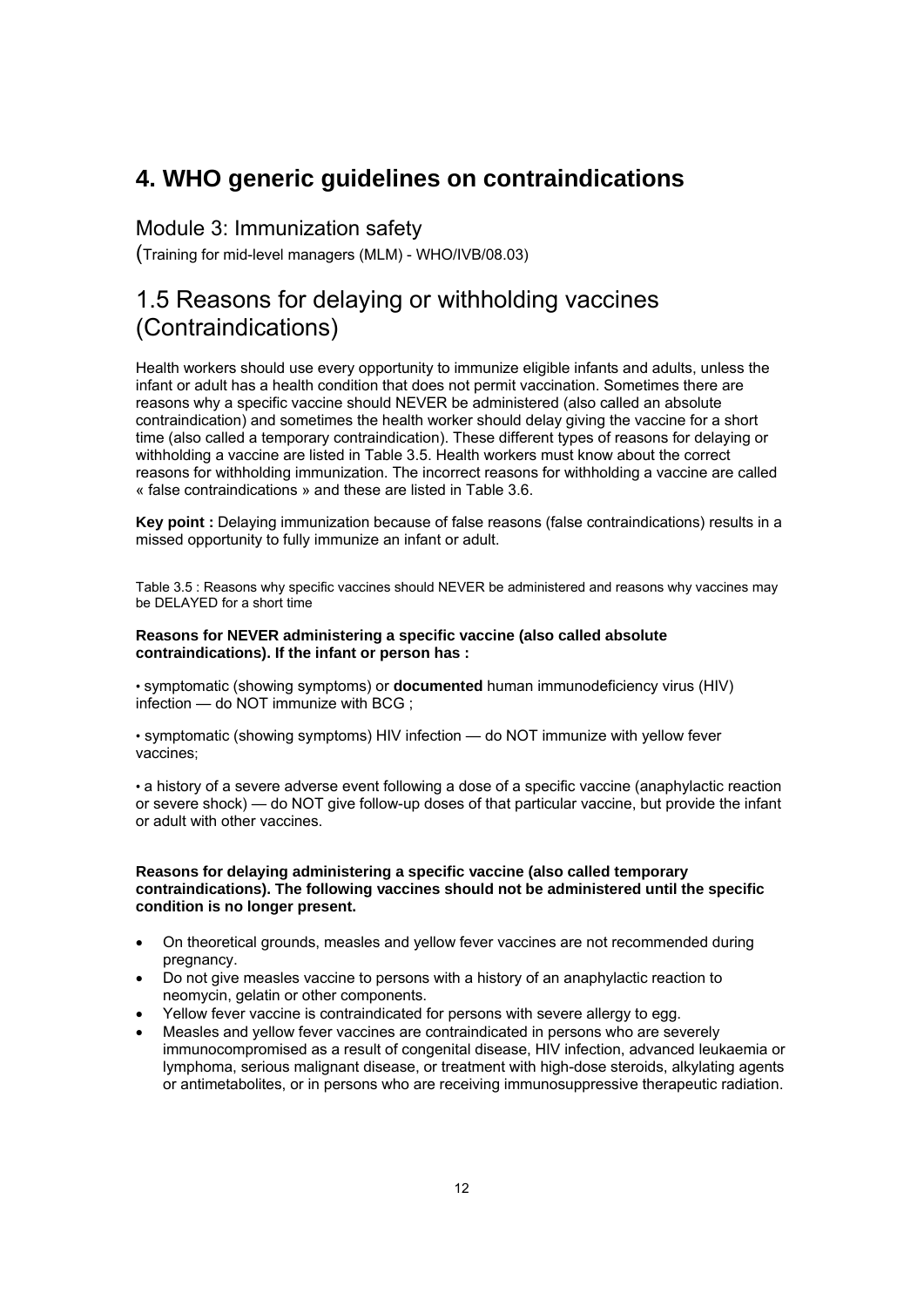# **4. WHO generic guidelines on contraindications**

### Module 3: Immunization safety

(Training for mid-level managers (MLM) - WHO/IVB/08.03)

# 1.5 Reasons for delaying or withholding vaccines (Contraindications)

Health workers should use every opportunity to immunize eligible infants and adults, unless the infant or adult has a health condition that does not permit vaccination. Sometimes there are reasons why a specific vaccine should NEVER be administered (also called an absolute contraindication) and sometimes the health worker should delay giving the vaccine for a short time (also called a temporary contraindication). These different types of reasons for delaying or withholding a vaccine are listed in Table 3.5. Health workers must know about the correct reasons for withholding immunization. The incorrect reasons for withholding a vaccine are called « false contraindications » and these are listed in Table 3.6.

**Key point :** Delaying immunization because of false reasons (false contraindications) results in a missed opportunity to fully immunize an infant or adult.

Table 3.5 : Reasons why specific vaccines should NEVER be administered and reasons why vaccines may be DELAYED for a short time

#### **Reasons for NEVER administering a specific vaccine (also called absolute contraindications). If the infant or person has :**

• symptomatic (showing symptoms) or **documented** human immunodeficiency virus (HIV) infection — do NOT immunize with BCG ;

• symptomatic (showing symptoms) HIV infection — do NOT immunize with yellow fever vaccines;

• a history of a severe adverse event following a dose of a specific vaccine (anaphylactic reaction or severe shock) — do NOT give follow-up doses of that particular vaccine, but provide the infant or adult with other vaccines.

#### **Reasons for delaying administering a specific vaccine (also called temporary contraindications). The following vaccines should not be administered until the specific condition is no longer present.**

- On theoretical grounds, measles and yellow fever vaccines are not recommended during pregnancy.
- Do not give measles vaccine to persons with a history of an anaphylactic reaction to neomycin, gelatin or other components.
- Yellow fever vaccine is contraindicated for persons with severe allergy to egg.
- Measles and yellow fever vaccines are contraindicated in persons who are severely immunocompromised as a result of congenital disease, HIV infection, advanced leukaemia or lymphoma, serious malignant disease, or treatment with high-dose steroids, alkylating agents or antimetabolites, or in persons who are receiving immunosuppressive therapeutic radiation.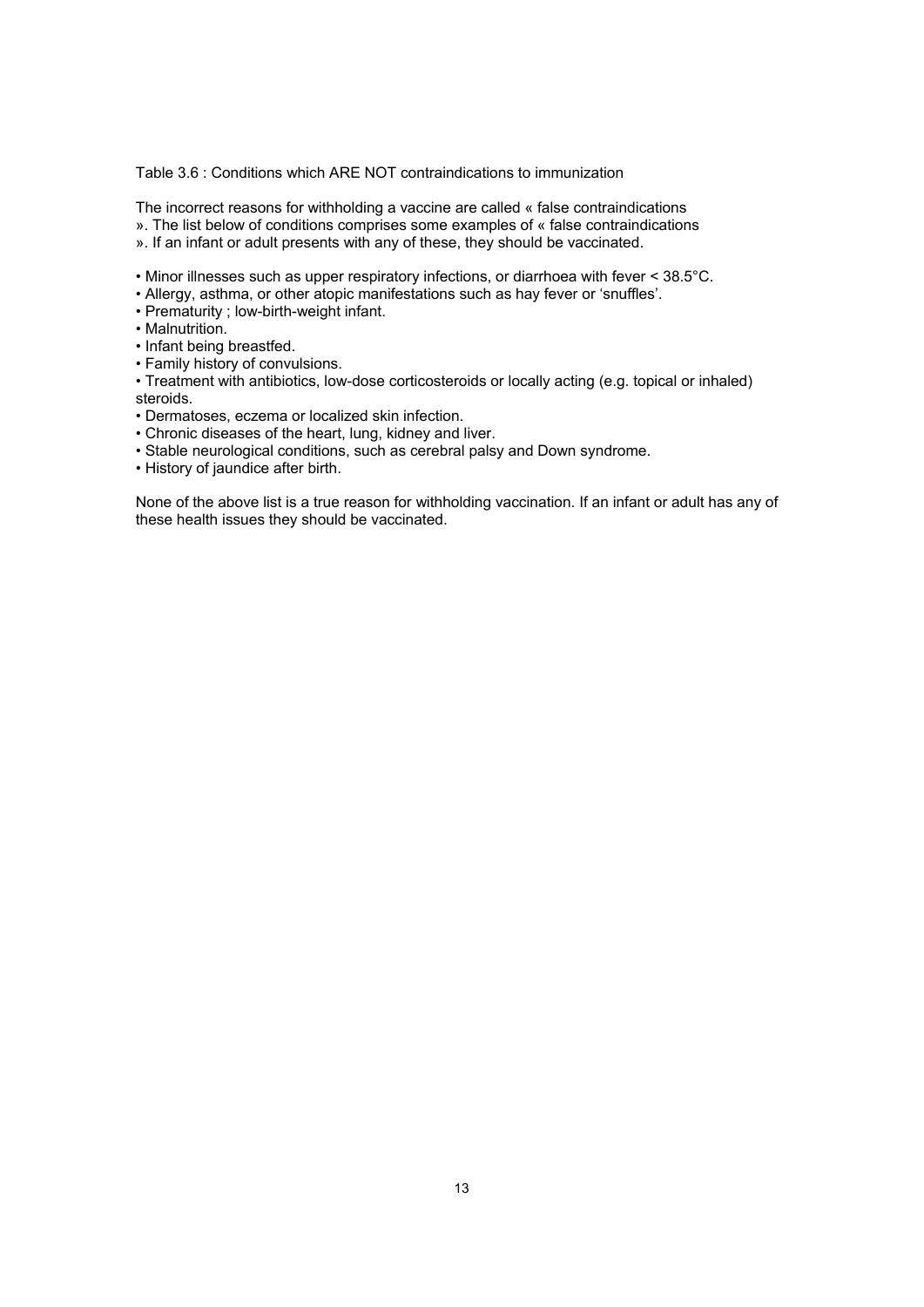Table 3.6 : Conditions which ARE NOT contraindications to immunization

The incorrect reasons for withholding a vaccine are called « false contraindications

- ». The list below of conditions comprises some examples of « false contraindications
- ». If an infant or adult presents with any of these, they should be vaccinated.
- Minor illnesses such as upper respiratory infections, or diarrhoea with fever < 38.5°C.
- Allergy, asthma, or other atopic manifestations such as hay fever or 'snuffles'.
- Prematurity ; low-birth-weight infant.
- Malnutrition.
- Infant being breastfed.
- Family history of convulsions.
- Treatment with antibiotics, low-dose corticosteroids or locally acting (e.g. topical or inhaled) steroids.
- Dermatoses, eczema or localized skin infection.
- Chronic diseases of the heart, lung, kidney and liver.
- Stable neurological conditions, such as cerebral palsy and Down syndrome.
- History of jaundice after birth.

None of the above list is a true reason for withholding vaccination. If an infant or adult has any of these health issues they should be vaccinated.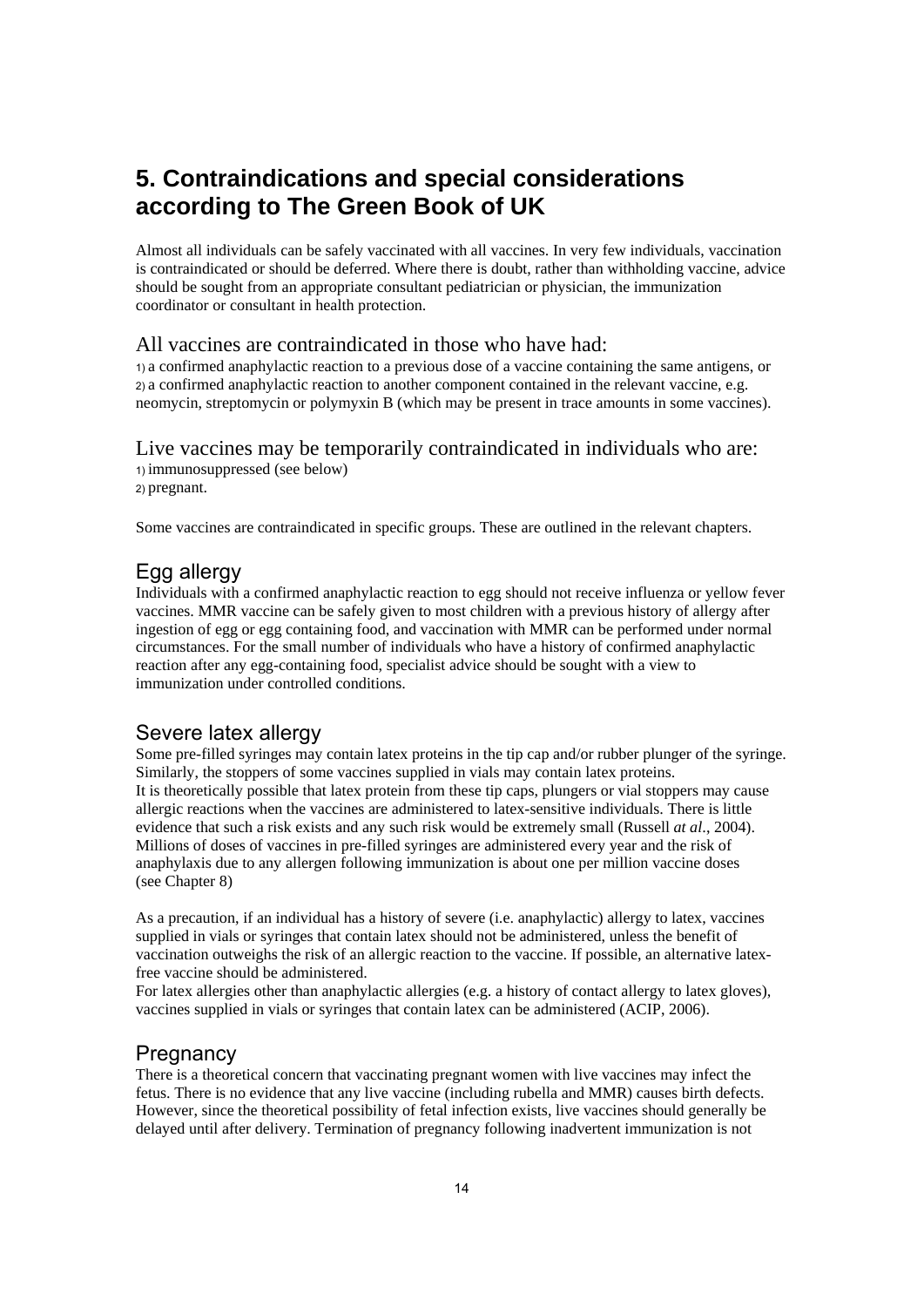# **5. Contraindications and special considerations according to The Green Book of UK**

Almost all individuals can be safely vaccinated with all vaccines. In very few individuals, vaccination is contraindicated or should be deferred. Where there is doubt, rather than withholding vaccine, advice should be sought from an appropriate consultant pediatrician or physician, the immunization coordinator or consultant in health protection.

### All vaccines are contraindicated in those who have had:

1) a confirmed anaphylactic reaction to a previous dose of a vaccine containing the same antigens, or 2) a confirmed anaphylactic reaction to another component contained in the relevant vaccine, e.g. neomycin, streptomycin or polymyxin B (which may be present in trace amounts in some vaccines).

### Live vaccines may be temporarily contraindicated in individuals who are:

1) immunosuppressed (see below) 2) pregnant.

Some vaccines are contraindicated in specific groups. These are outlined in the relevant chapters.

### Egg allergy

Individuals with a confirmed anaphylactic reaction to egg should not receive influenza or yellow fever vaccines. MMR vaccine can be safely given to most children with a previous history of allergy after ingestion of egg or egg containing food, and vaccination with MMR can be performed under normal circumstances. For the small number of individuals who have a history of confirmed anaphylactic reaction after any egg-containing food, specialist advice should be sought with a view to immunization under controlled conditions.

### Severe latex allergy

Some pre-filled syringes may contain latex proteins in the tip cap and/or rubber plunger of the syringe. Similarly, the stoppers of some vaccines supplied in vials may contain latex proteins. It is theoretically possible that latex protein from these tip caps, plungers or vial stoppers may cause allergic reactions when the vaccines are administered to latex-sensitive individuals. There is little evidence that such a risk exists and any such risk would be extremely small (Russell *at al*., 2004). Millions of doses of vaccines in pre-filled syringes are administered every year and the risk of anaphylaxis due to any allergen following immunization is about one per million vaccine doses (see Chapter 8)

As a precaution, if an individual has a history of severe (i.e. anaphylactic) allergy to latex, vaccines supplied in vials or syringes that contain latex should not be administered, unless the benefit of vaccination outweighs the risk of an allergic reaction to the vaccine. If possible, an alternative latexfree vaccine should be administered.

For latex allergies other than anaphylactic allergies (e.g. a history of contact allergy to latex gloves), vaccines supplied in vials or syringes that contain latex can be administered (ACIP, 2006).

### **Pregnancy**

There is a theoretical concern that vaccinating pregnant women with live vaccines may infect the fetus. There is no evidence that any live vaccine (including rubella and MMR) causes birth defects. However, since the theoretical possibility of fetal infection exists, live vaccines should generally be delayed until after delivery. Termination of pregnancy following inadvertent immunization is not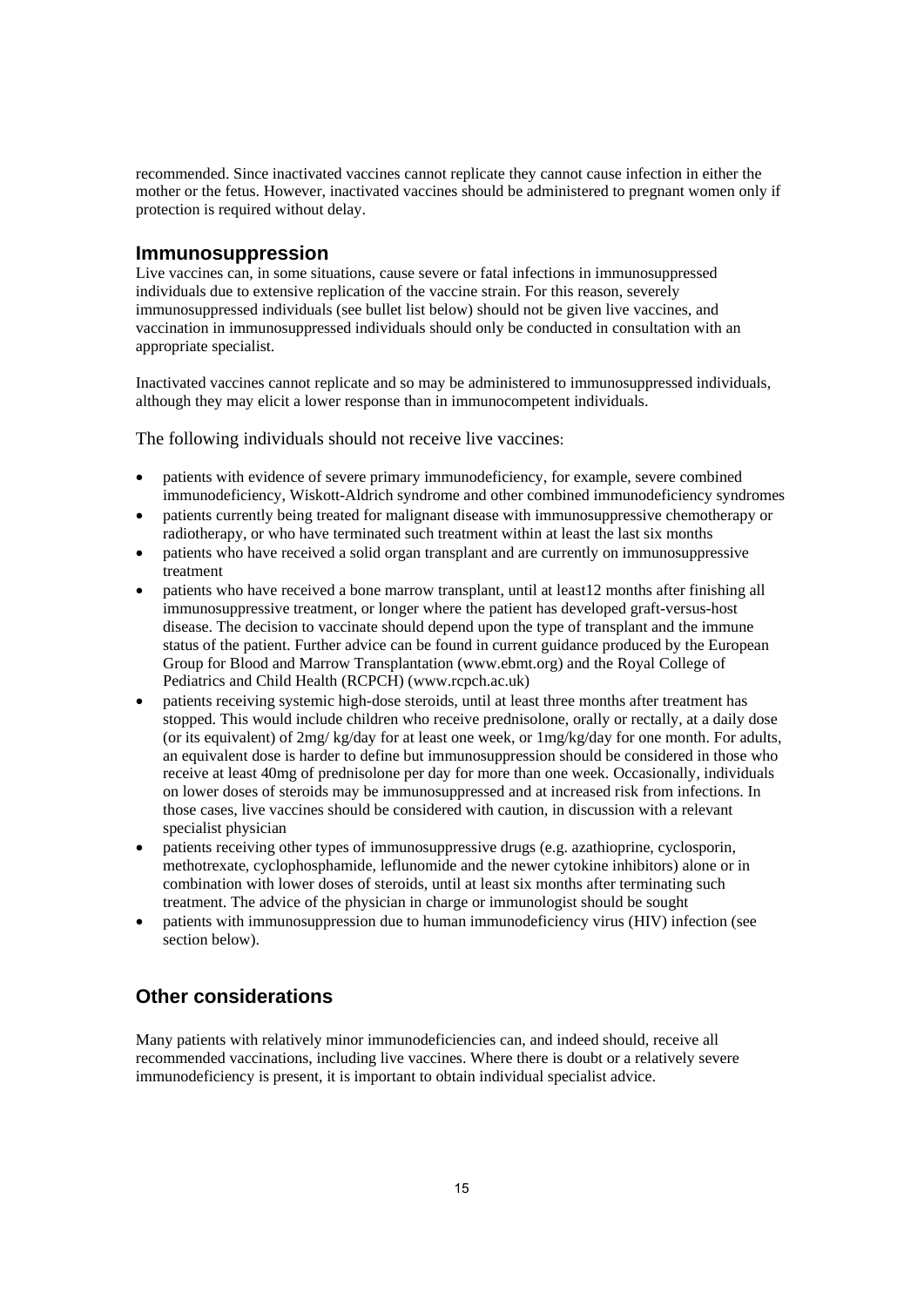recommended. Since inactivated vaccines cannot replicate they cannot cause infection in either the mother or the fetus. However, inactivated vaccines should be administered to pregnant women only if protection is required without delay.

#### **Immunosuppression**

Live vaccines can, in some situations, cause severe or fatal infections in immunosuppressed individuals due to extensive replication of the vaccine strain. For this reason, severely immunosuppressed individuals (see bullet list below) should not be given live vaccines, and vaccination in immunosuppressed individuals should only be conducted in consultation with an appropriate specialist.

Inactivated vaccines cannot replicate and so may be administered to immunosuppressed individuals, although they may elicit a lower response than in immunocompetent individuals.

The following individuals should not receive live vaccines:

- patients with evidence of severe primary immunodeficiency, for example, severe combined immunodeficiency, Wiskott-Aldrich syndrome and other combined immunodeficiency syndromes
- patients currently being treated for malignant disease with immunosuppressive chemotherapy or radiotherapy, or who have terminated such treatment within at least the last six months
- patients who have received a solid organ transplant and are currently on immunosuppressive treatment
- patients who have received a bone marrow transplant, until at least12 months after finishing all immunosuppressive treatment, or longer where the patient has developed graft-versus-host disease. The decision to vaccinate should depend upon the type of transplant and the immune status of the patient. Further advice can be found in current guidance produced by the European Group for Blood and Marrow Transplantation (www.ebmt.org) and the Royal College of Pediatrics and Child Health (RCPCH) (www.rcpch.ac.uk)
- patients receiving systemic high-dose steroids, until at least three months after treatment has stopped. This would include children who receive prednisolone, orally or rectally, at a daily dose (or its equivalent) of  $2mg/\frac{kg}{day}$  for at least one week, or  $1mg/\frac{kg}{day}$  for one month. For adults, an equivalent dose is harder to define but immunosuppression should be considered in those who receive at least 40mg of prednisolone per day for more than one week. Occasionally, individuals on lower doses of steroids may be immunosuppressed and at increased risk from infections. In those cases, live vaccines should be considered with caution, in discussion with a relevant specialist physician
- patients receiving other types of immunosuppressive drugs (e.g. azathioprine, cyclosporin, methotrexate, cyclophosphamide, leflunomide and the newer cytokine inhibitors) alone or in combination with lower doses of steroids, until at least six months after terminating such treatment. The advice of the physician in charge or immunologist should be sought
- patients with immunosuppression due to human immunodeficiency virus (HIV) infection (see section below).

### **Other considerations**

Many patients with relatively minor immunodeficiencies can, and indeed should, receive all recommended vaccinations, including live vaccines. Where there is doubt or a relatively severe immunodeficiency is present, it is important to obtain individual specialist advice.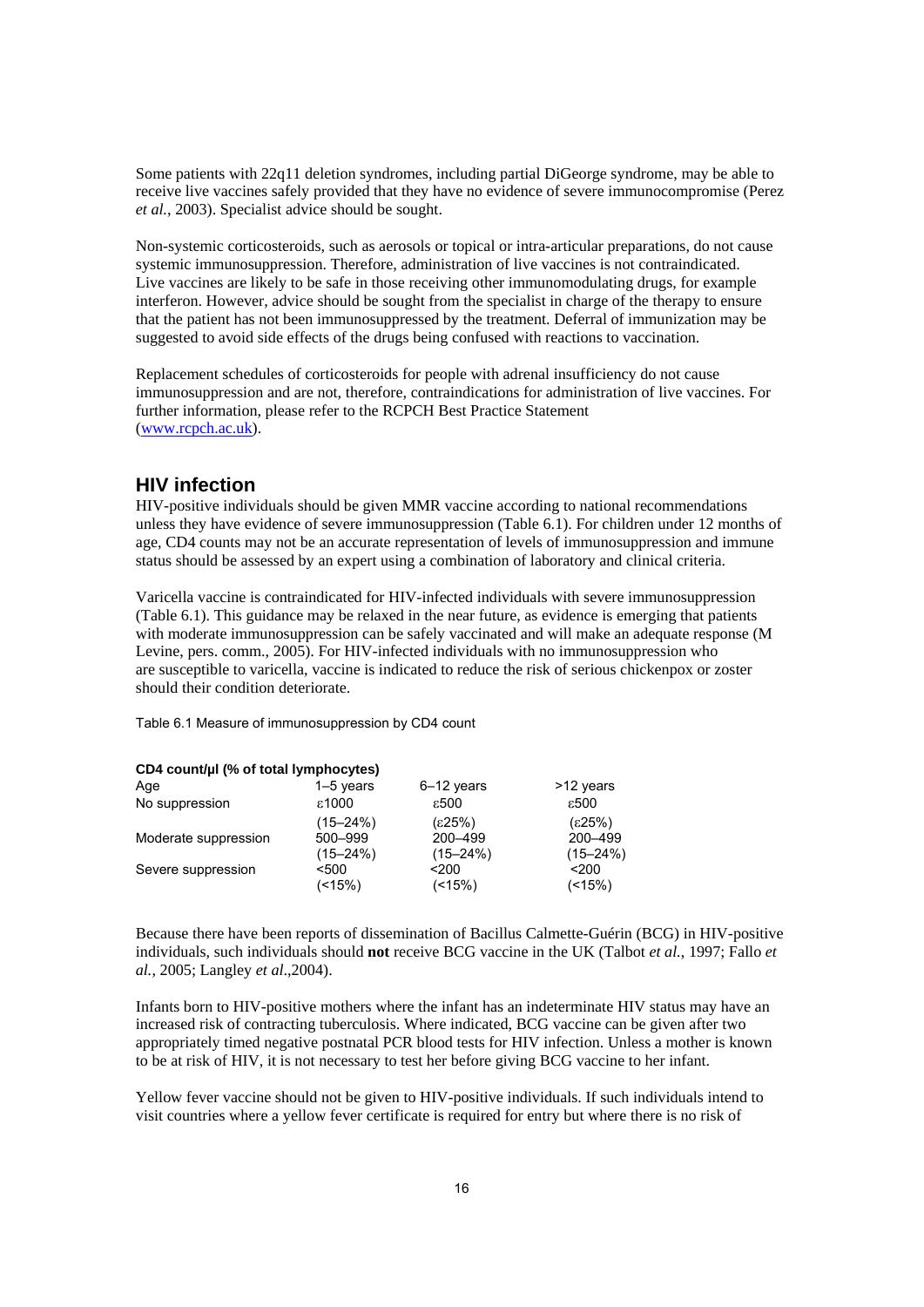Some patients with 22q11 deletion syndromes, including partial DiGeorge syndrome, may be able to receive live vaccines safely provided that they have no evidence of severe immunocompromise (Perez *et al.*, 2003). Specialist advice should be sought.

Non-systemic corticosteroids, such as aerosols or topical or intra-articular preparations, do not cause systemic immunosuppression. Therefore, administration of live vaccines is not contraindicated. Live vaccines are likely to be safe in those receiving other immunomodulating drugs, for example interferon. However, advice should be sought from the specialist in charge of the therapy to ensure that the patient has not been immunosuppressed by the treatment. Deferral of immunization may be suggested to avoid side effects of the drugs being confused with reactions to vaccination.

Replacement schedules of corticosteroids for people with adrenal insufficiency do not cause immunosuppression and are not, therefore, contraindications for administration of live vaccines. For further information, please refer to the RCPCH Best Practice Statement (www.rcpch.ac.uk).

### **HIV infection**

HIV-positive individuals should be given MMR vaccine according to national recommendations unless they have evidence of severe immunosuppression (Table 6.1). For children under 12 months of age, CD4 counts may not be an accurate representation of levels of immunosuppression and immune status should be assessed by an expert using a combination of laboratory and clinical criteria.

Varicella vaccine is contraindicated for HIV-infected individuals with severe immunosuppression (Table 6.1). This guidance may be relaxed in the near future, as evidence is emerging that patients with moderate immunosuppression can be safely vaccinated and will make an adequate response (M Levine, pers. comm., 2005). For HIV-infected individuals with no immunosuppression who are susceptible to varicella, vaccine is indicated to reduce the risk of serious chickenpox or zoster should their condition deteriorate.

Table 6.1 Measure of immunosuppression by CD4 count

| CD4 count/µl (% of total lymphocytes) |                          |                         |                          |
|---------------------------------------|--------------------------|-------------------------|--------------------------|
| Age                                   | $1-5$ years              | $6-12$ years            | >12 years                |
| No suppression                        | ε1000                    | ε500                    | ε500                     |
|                                       | $(15 - 24%)$             | $(\epsilon 25\%)$       | $(\epsilon 25\%)$        |
| Moderate suppression                  | 500-999<br>$(15 - 24\%)$ | 200-499<br>$(15 - 24%)$ | 200-499<br>$(15 - 24\%)$ |
| Severe suppression                    | < 500<br>$($ < 15%)      | $<$ 200<br>$($ < 15%)   | $200$<br>$($ < 15%)      |

Because there have been reports of dissemination of Bacillus Calmette-Guérin (BCG) in HIV-positive individuals, such individuals should **not** receive BCG vaccine in the UK (Talbot *et al.*, 1997; Fallo *et al.*, 2005; Langley *et al*.,2004).

Infants born to HIV-positive mothers where the infant has an indeterminate HIV status may have an increased risk of contracting tuberculosis. Where indicated, BCG vaccine can be given after two appropriately timed negative postnatal PCR blood tests for HIV infection. Unless a mother is known to be at risk of HIV, it is not necessary to test her before giving BCG vaccine to her infant.

Yellow fever vaccine should not be given to HIV-positive individuals. If such individuals intend to visit countries where a yellow fever certificate is required for entry but where there is no risk of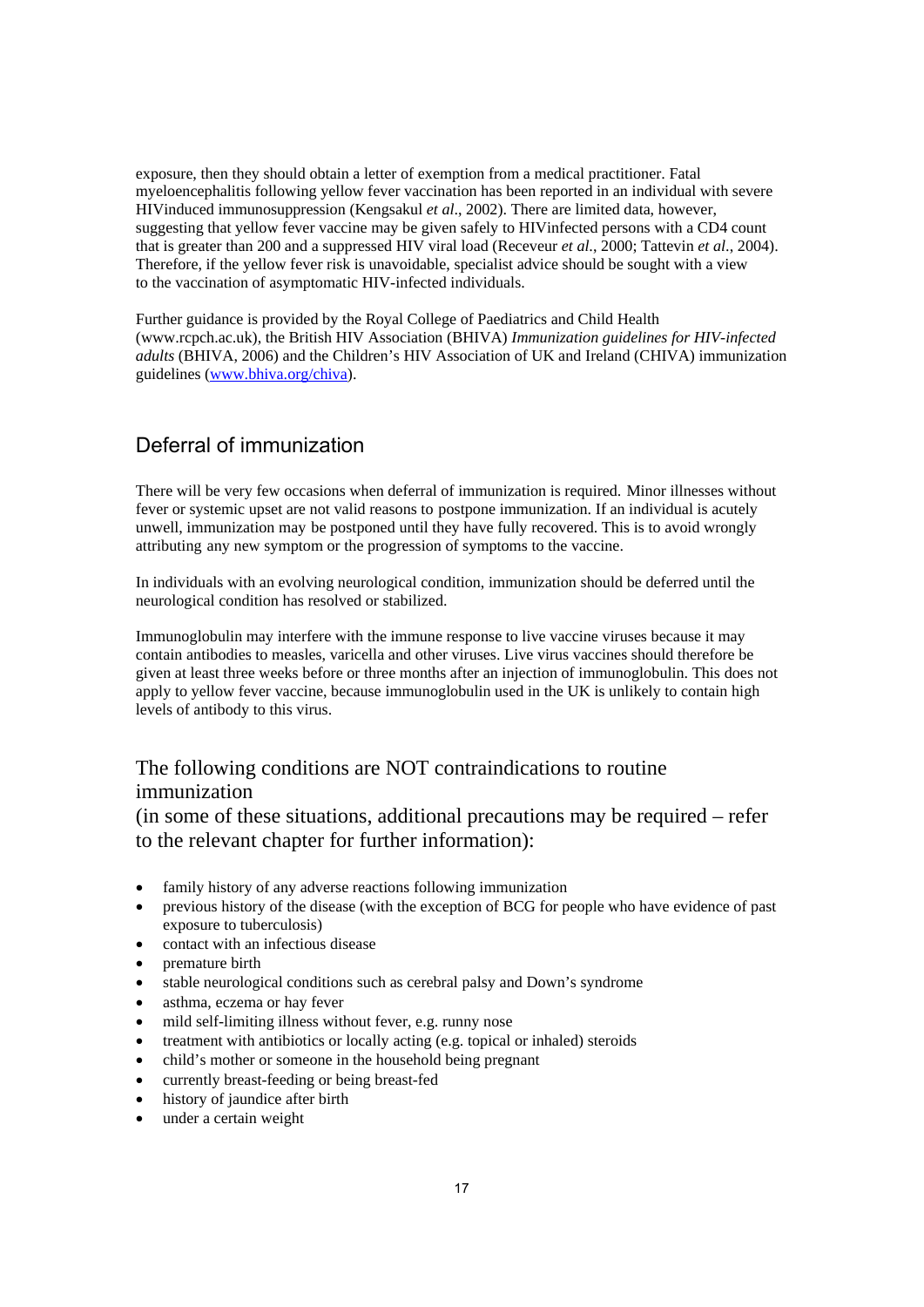exposure, then they should obtain a letter of exemption from a medical practitioner. Fatal myeloencephalitis following yellow fever vaccination has been reported in an individual with severe HIVinduced immunosuppression (Kengsakul *et al*., 2002). There are limited data, however, suggesting that yellow fever vaccine may be given safely to HIVinfected persons with a CD4 count that is greater than 200 and a suppressed HIV viral load (Receveur *et al*., 2000; Tattevin *et al*., 2004). Therefore, if the yellow fever risk is unavoidable, specialist advice should be sought with a view to the vaccination of asymptomatic HIV-infected individuals.

Further guidance is provided by the Royal College of Paediatrics and Child Health (www.rcpch.ac.uk), the British HIV Association (BHIVA) *Immunization guidelines for HIV-infected adults* (BHIVA, 2006) and the Children's HIV Association of UK and Ireland (CHIVA) immunization guidelines (www.bhiva.org/chiva).

### Deferral of immunization

There will be very few occasions when deferral of immunization is required. Minor illnesses without fever or systemic upset are not valid reasons to postpone immunization. If an individual is acutely unwell, immunization may be postponed until they have fully recovered. This is to avoid wrongly attributing any new symptom or the progression of symptoms to the vaccine.

In individuals with an evolving neurological condition, immunization should be deferred until the neurological condition has resolved or stabilized.

Immunoglobulin may interfere with the immune response to live vaccine viruses because it may contain antibodies to measles, varicella and other viruses. Live virus vaccines should therefore be given at least three weeks before or three months after an injection of immunoglobulin. This does not apply to yellow fever vaccine, because immunoglobulin used in the UK is unlikely to contain high levels of antibody to this virus.

### The following conditions are NOT contraindications to routine immunization

(in some of these situations, additional precautions may be required – refer to the relevant chapter for further information):

- family history of any adverse reactions following immunization
- previous history of the disease (with the exception of BCG for people who have evidence of past exposure to tuberculosis)
- contact with an infectious disease
- premature birth
- stable neurological conditions such as cerebral palsy and Down's syndrome
- asthma, eczema or hay fever
- mild self-limiting illness without fever, e.g. runny nose
- treatment with antibiotics or locally acting (e.g. topical or inhaled) steroids
- child's mother or someone in the household being pregnant
- currently breast-feeding or being breast-fed
- history of jaundice after birth
- under a certain weight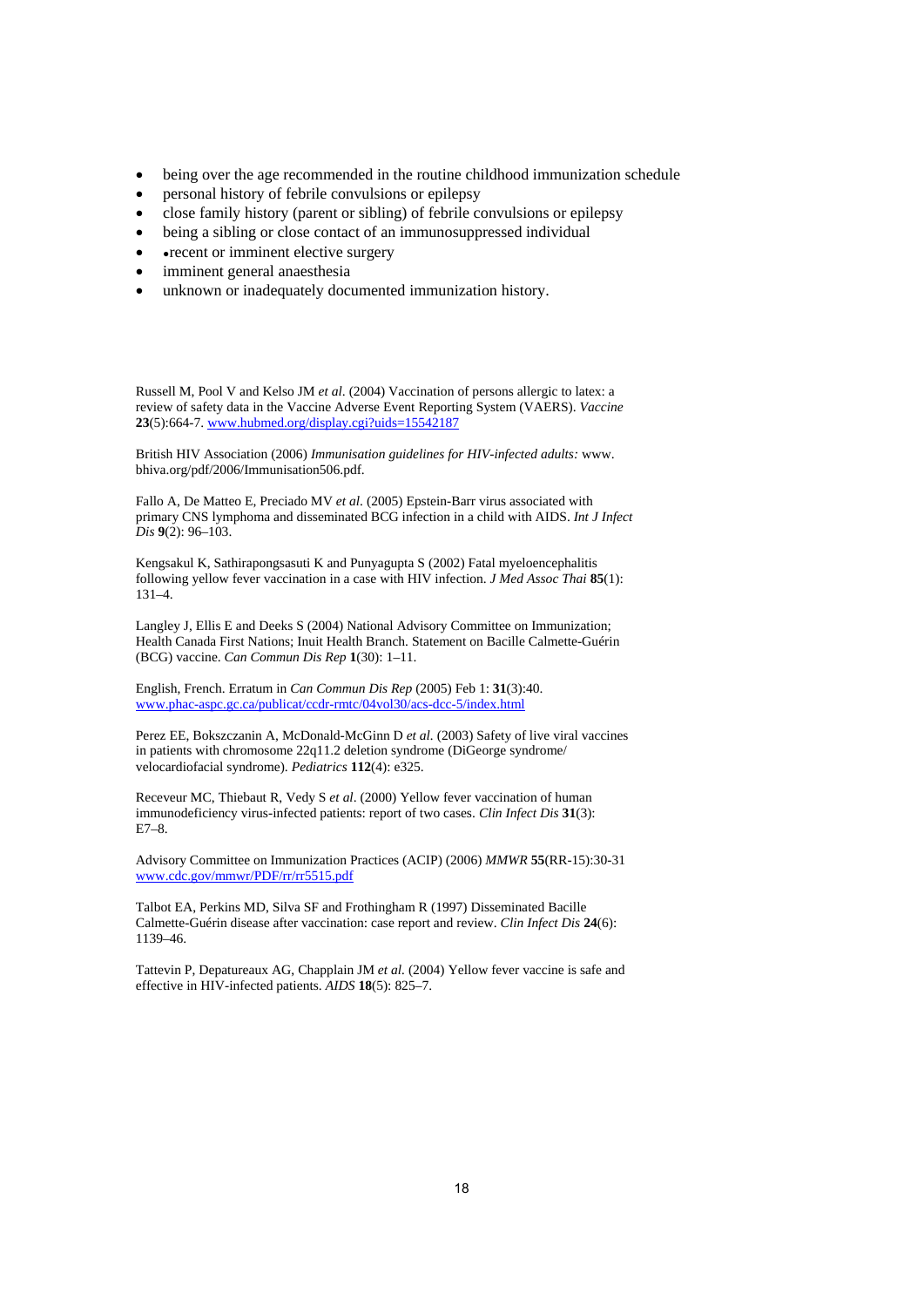- being over the age recommended in the routine childhood immunization schedule
- personal history of febrile convulsions or epilepsy
- close family history (parent or sibling) of febrile convulsions or epilepsy
- being a sibling or close contact of an immunosuppressed individual
- recent or imminent elective surgery
- imminent general anaesthesia
- unknown or inadequately documented immunization history.

Russell M, Pool V and Kelso JM *et al*. (2004) Vaccination of persons allergic to latex: a review of safety data in the Vaccine Adverse Event Reporting System (VAERS). *Vaccine*  **23**(5):664-7. www.hubmed.org/display.cgi?uids=15542187

British HIV Association (2006) *Immunisation guidelines for HIV-infected adults:* www. bhiva.org/pdf/2006/Immunisation506.pdf.

Fallo A, De Matteo E, Preciado MV *et al*. (2005) Epstein-Barr virus associated with primary CNS lymphoma and disseminated BCG infection in a child with AIDS. *Int J Infect Dis* **9**(2): 96–103.

Kengsakul K, Sathirapongsasuti K and Punyagupta S (2002) Fatal myeloencephalitis following yellow fever vaccination in a case with HIV infection. *J Med Assoc Thai* **85**(1): 131–4.

Langley J, Ellis E and Deeks S (2004) National Advisory Committee on Immunization; Health Canada First Nations; Inuit Health Branch. Statement on Bacille Calmette-Guérin (BCG) vaccine. *Can Commun Dis Rep* **1**(30): 1–11.

English, French. Erratum in *Can Commun Dis Rep* (2005) Feb 1: **31**(3):40. www.phac-aspc.gc.ca/publicat/ccdr-rmtc/04vol30/acs-dcc-5/index.html

Perez EE, Bokszczanin A, McDonald-McGinn D *et al.* (2003) Safety of live viral vaccines in patients with chromosome 22q11.2 deletion syndrome (DiGeorge syndrome/ velocardiofacial syndrome). *Pediatrics* **112**(4): e325.

Receveur MC, Thiebaut R, Vedy S *et al*. (2000) Yellow fever vaccination of human immunodeficiency virus-infected patients: report of two cases. *Clin Infect Dis* **31**(3): E7–8.

Advisory Committee on Immunization Practices (ACIP) (2006) *MMWR* **55**(RR-15):30-31 www.cdc.gov/mmwr/PDF/rr/rr5515.pdf

Talbot EA, Perkins MD, Silva SF and Frothingham R (1997) Disseminated Bacille Calmette-Guérin disease after vaccination: case report and review. *Clin Infect Dis* **24**(6): 1139–46.

Tattevin P, Depatureaux AG, Chapplain JM *et al.* (2004) Yellow fever vaccine is safe and effective in HIV-infected patients. *AIDS* **18**(5): 825–7.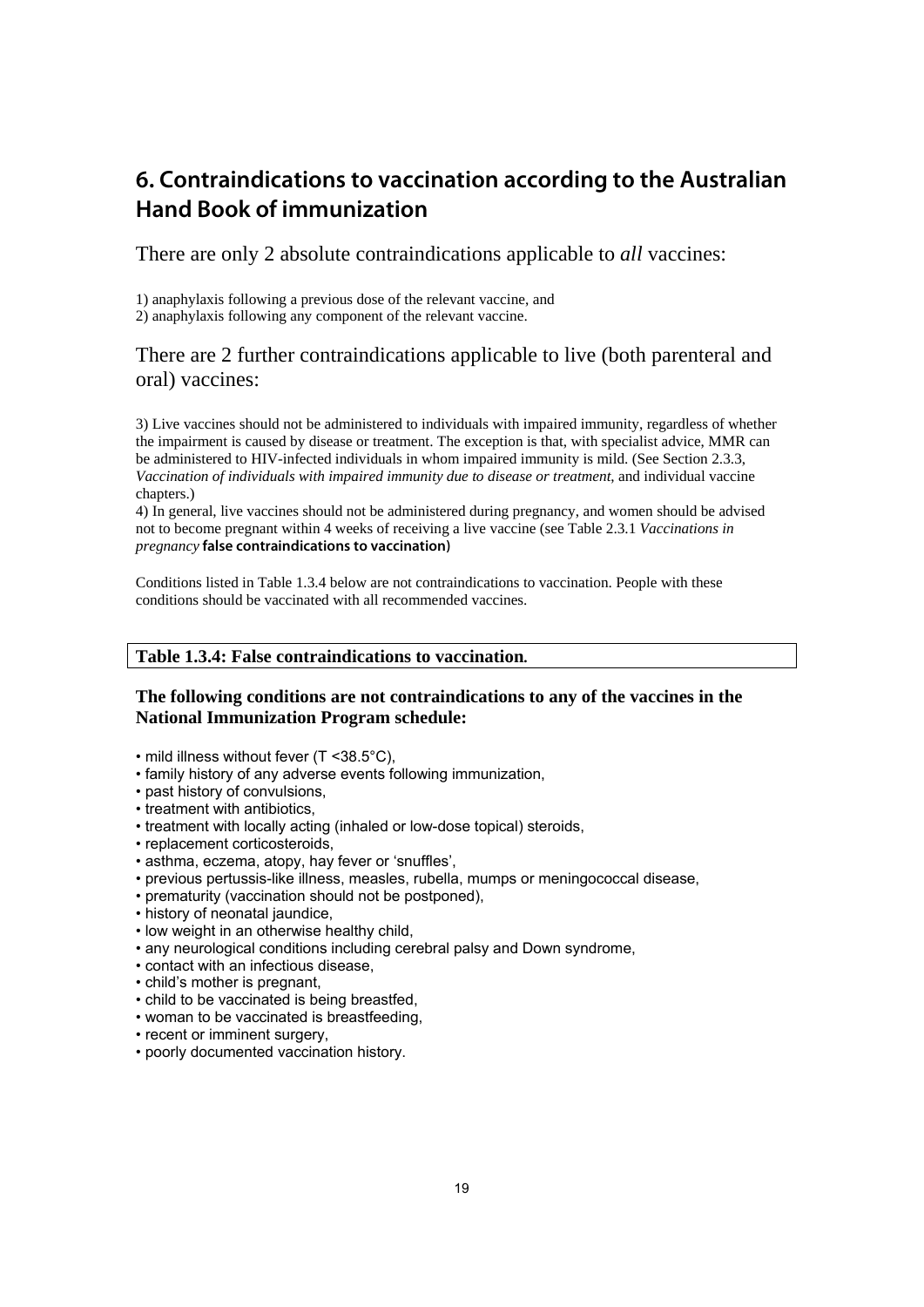# **6. Contraindications to vaccination according to the Australian Hand Book of immunization**

There are only 2 absolute contraindications applicable to *all* vaccines:

1) anaphylaxis following a previous dose of the relevant vaccine, and

2) anaphylaxis following any component of the relevant vaccine.

### There are 2 further contraindications applicable to live (both parenteral and oral) vaccines:

3) Live vaccines should not be administered to individuals with impaired immunity, regardless of whether the impairment is caused by disease or treatment. The exception is that, with specialist advice, MMR can be administered to HIV-infected individuals in whom impaired immunity is mild. (See Section 2.3.3, *Vaccination of individuals with impaired immunity due to disease or treatment*, and individual vaccine chapters.)

4) In general, live vaccines should not be administered during pregnancy, and women should be advised not to become pregnant within 4 weeks of receiving a live vaccine (see Table 2.3.1 *Vaccinations in pregnancy* **false contraindications to vaccination)** 

Conditions listed in Table 1.3.4 below are not contraindications to vaccination. People with these conditions should be vaccinated with all recommended vaccines.

### **Table 1.3.4: False contraindications to vaccination.**

### **The following conditions are not contraindications to any of the vaccines in the National Immunization Program schedule:**

- mild illness without fever (T <38.5°C),
- family history of any adverse events following immunization,
- past history of convulsions,
- treatment with antibiotics,
- treatment with locally acting (inhaled or low-dose topical) steroids,
- replacement corticosteroids,
- asthma, eczema, atopy, hay fever or 'snuffles',
- previous pertussis-like illness, measles, rubella, mumps or meningococcal disease,
- prematurity (vaccination should not be postponed),
- history of neonatal jaundice,
- low weight in an otherwise healthy child,
- any neurological conditions including cerebral palsy and Down syndrome,
- contact with an infectious disease,
- child's mother is pregnant,
- child to be vaccinated is being breastfed,
- woman to be vaccinated is breastfeeding,
- recent or imminent surgery,
- poorly documented vaccination history.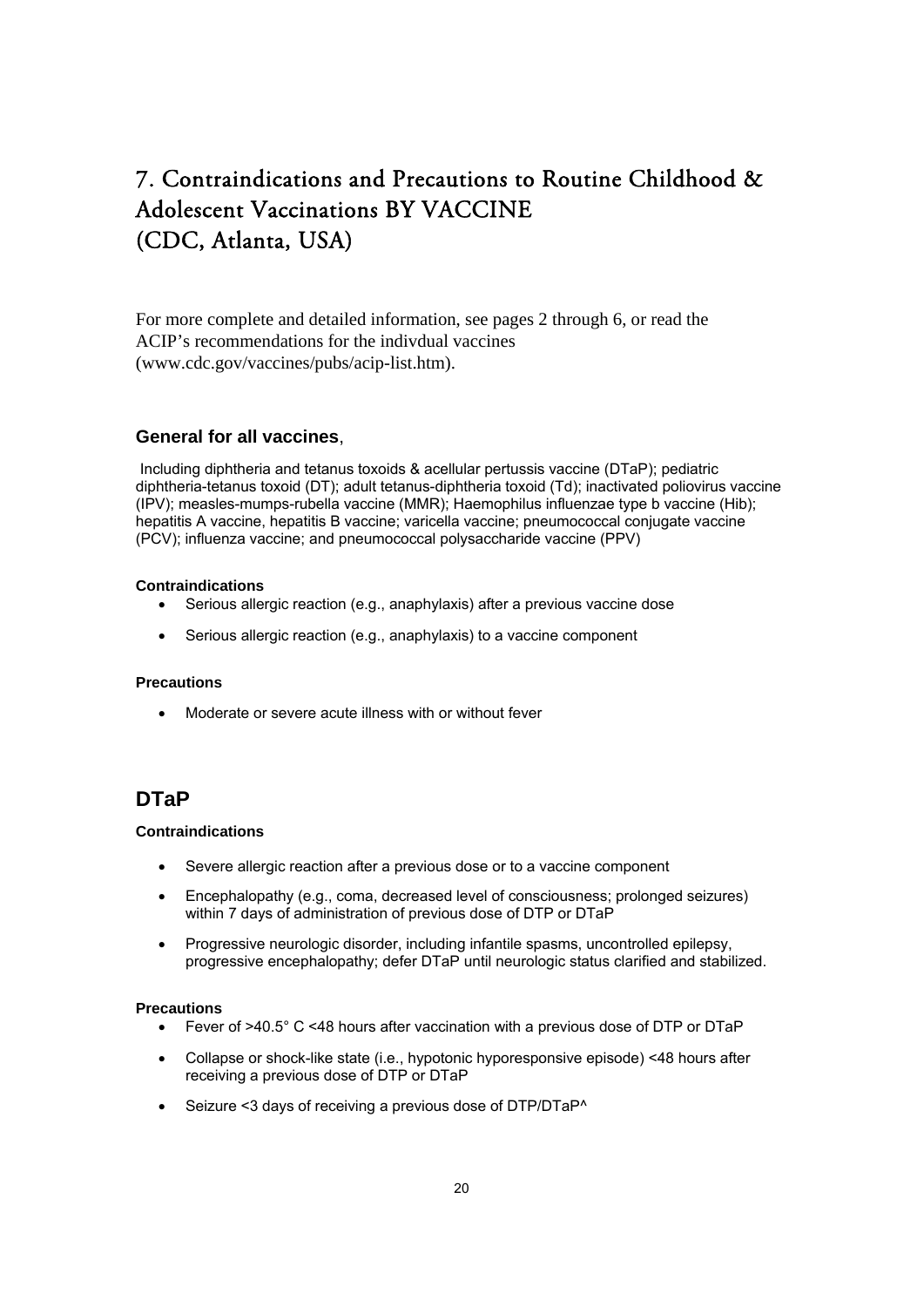# 7. Contraindications and Precautions to Routine Childhood & Adolescent Vaccinations BY VACCINE (CDC, Atlanta, USA)

For more complete and detailed information, see pages 2 through 6, or read the ACIP's recommendations for the indivdual vaccines (www.cdc.gov/vaccines/pubs/acip-list.htm).

#### **General for all vaccines**,

 Including diphtheria and tetanus toxoids & acellular pertussis vaccine (DTaP); pediatric diphtheria-tetanus toxoid (DT); adult tetanus-diphtheria toxoid (Td); inactivated poliovirus vaccine (IPV); measles-mumps-rubella vaccine (MMR); Haemophilus influenzae type b vaccine (Hib); hepatitis A vaccine, hepatitis B vaccine; varicella vaccine; pneumococcal conjugate vaccine (PCV); influenza vaccine; and pneumococcal polysaccharide vaccine (PPV)

#### **Contraindications**

- Serious allergic reaction (e.g., anaphylaxis) after a previous vaccine dose
- Serious allergic reaction (e.g., anaphylaxis) to a vaccine component

#### **Precautions**

Moderate or severe acute illness with or without fever

### **DTaP**

#### **Contraindications**

- Severe allergic reaction after a previous dose or to a vaccine component
- Encephalopathy (e.g., coma, decreased level of consciousness; prolonged seizures) within 7 days of administration of previous dose of DTP or DTaP
- Progressive neurologic disorder, including infantile spasms, uncontrolled epilepsy, progressive encephalopathy; defer DTaP until neurologic status clarified and stabilized.

#### **Precautions**

- Fever of >40.5° C <48 hours after vaccination with a previous dose of DTP or DTaP
- Collapse or shock-like state (i.e., hypotonic hyporesponsive episode) <48 hours after receiving a previous dose of DTP or DTaP
- Seizure <3 days of receiving a previous dose of DTP/DTaP^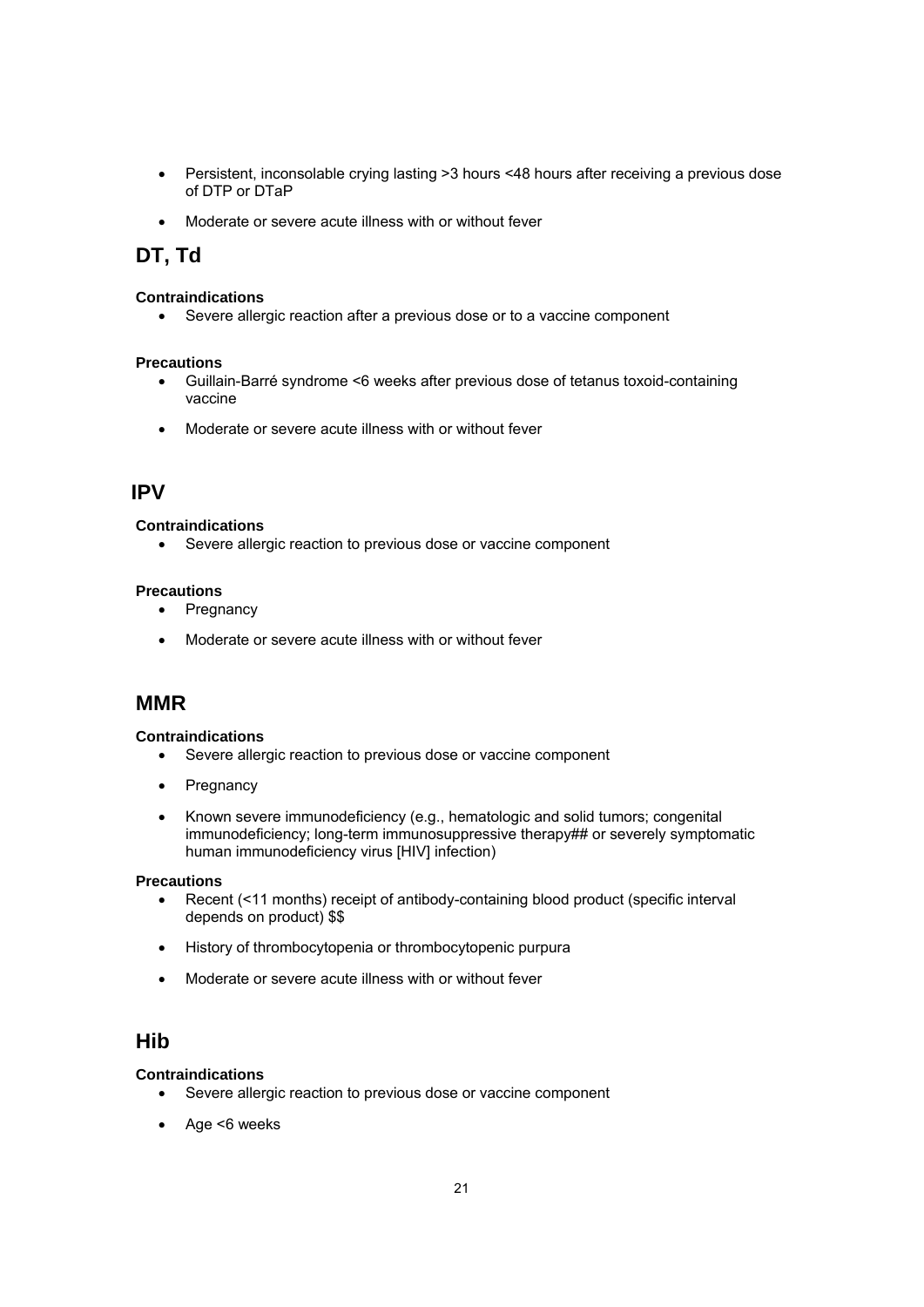- Persistent, inconsolable crying lasting >3 hours <48 hours after receiving a previous dose of DTP or DTaP
- Moderate or severe acute illness with or without fever

## **DT, Td**

#### **Contraindications**

Severe allergic reaction after a previous dose or to a vaccine component

#### **Precautions**

- Guillain-Barré syndrome <6 weeks after previous dose of tetanus toxoid-containing vaccine
- Moderate or severe acute illness with or without fever

### **IPV**

#### **Contraindications**

Severe allergic reaction to previous dose or vaccine component

#### **Precautions**

- Pregnancy
- Moderate or severe acute illness with or without fever

### **MMR**

#### **Contraindications**

- Severe allergic reaction to previous dose or vaccine component
- Pregnancy
- Known severe immunodeficiency (e.g., hematologic and solid tumors; congenital immunodeficiency; long-term immunosuppressive therapy## or severely symptomatic human immunodeficiency virus [HIV] infection)

#### **Precautions**

- Recent (<11 months) receipt of antibody-containing blood product (specific interval depends on product) \$\$
- History of thrombocytopenia or thrombocytopenic purpura
- Moderate or severe acute illness with or without fever

### **Hib**

### **Contraindications**

- Severe allergic reaction to previous dose or vaccine component
- Age <6 weeks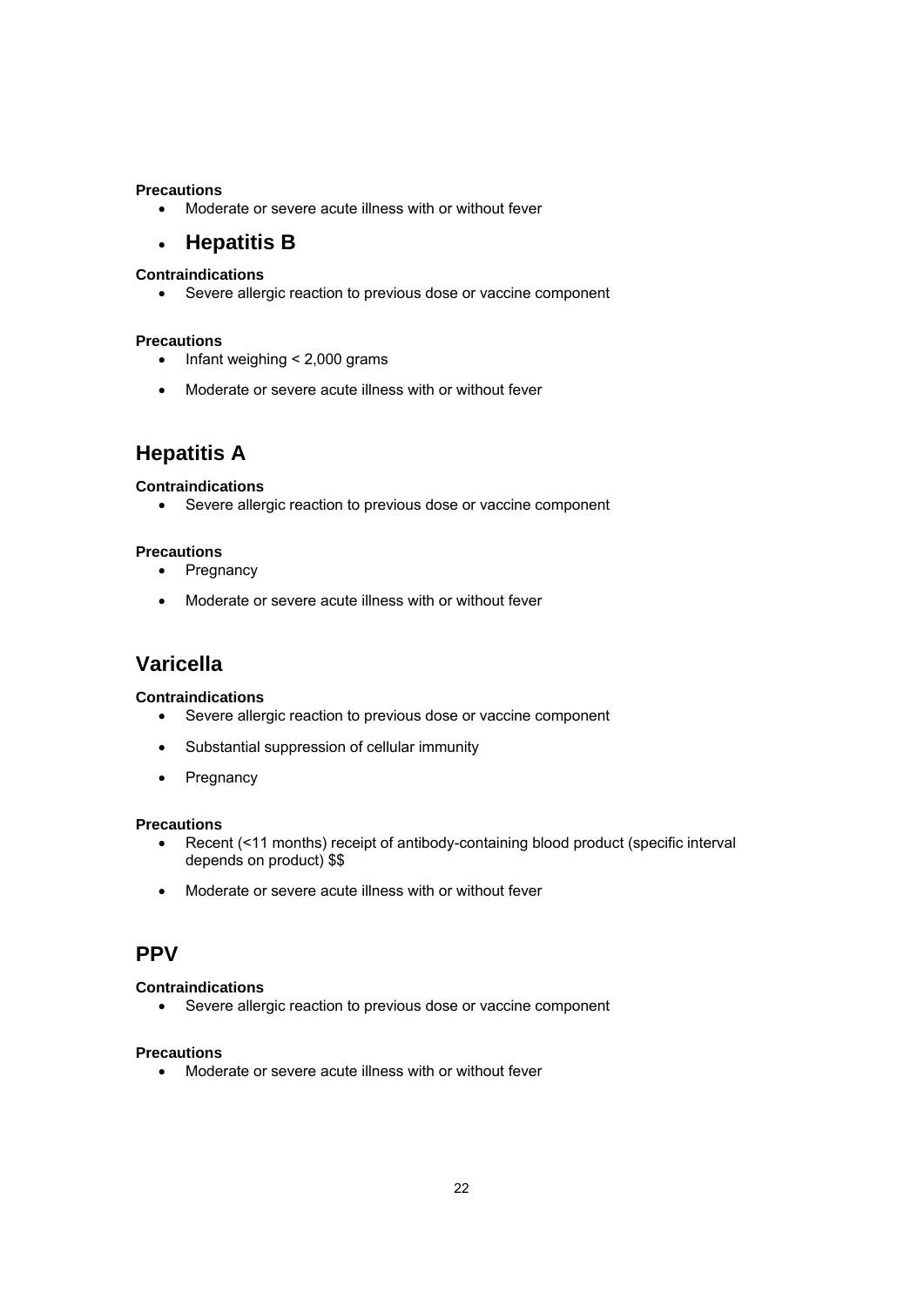#### **Precautions**

Moderate or severe acute illness with or without fever

### **Hepatitis B**

#### **Contraindications**

Severe allergic reaction to previous dose or vaccine component

#### **Precautions**

- $\bullet$  Infant weighing < 2,000 grams
- Moderate or severe acute illness with or without fever

### **Hepatitis A**

#### **Contraindications**

Severe allergic reaction to previous dose or vaccine component

#### **Precautions**

- Pregnancy
- Moderate or severe acute illness with or without fever

### **Varicella**

### **Contraindications**

- Severe allergic reaction to previous dose or vaccine component
- Substantial suppression of cellular immunity
- Pregnancy

#### **Precautions**

- Recent (<11 months) receipt of antibody-containing blood product (specific interval depends on product) \$\$
- Moderate or severe acute illness with or without fever

### **PPV**

#### **Contraindications**

Severe allergic reaction to previous dose or vaccine component

#### **Precautions**

Moderate or severe acute illness with or without fever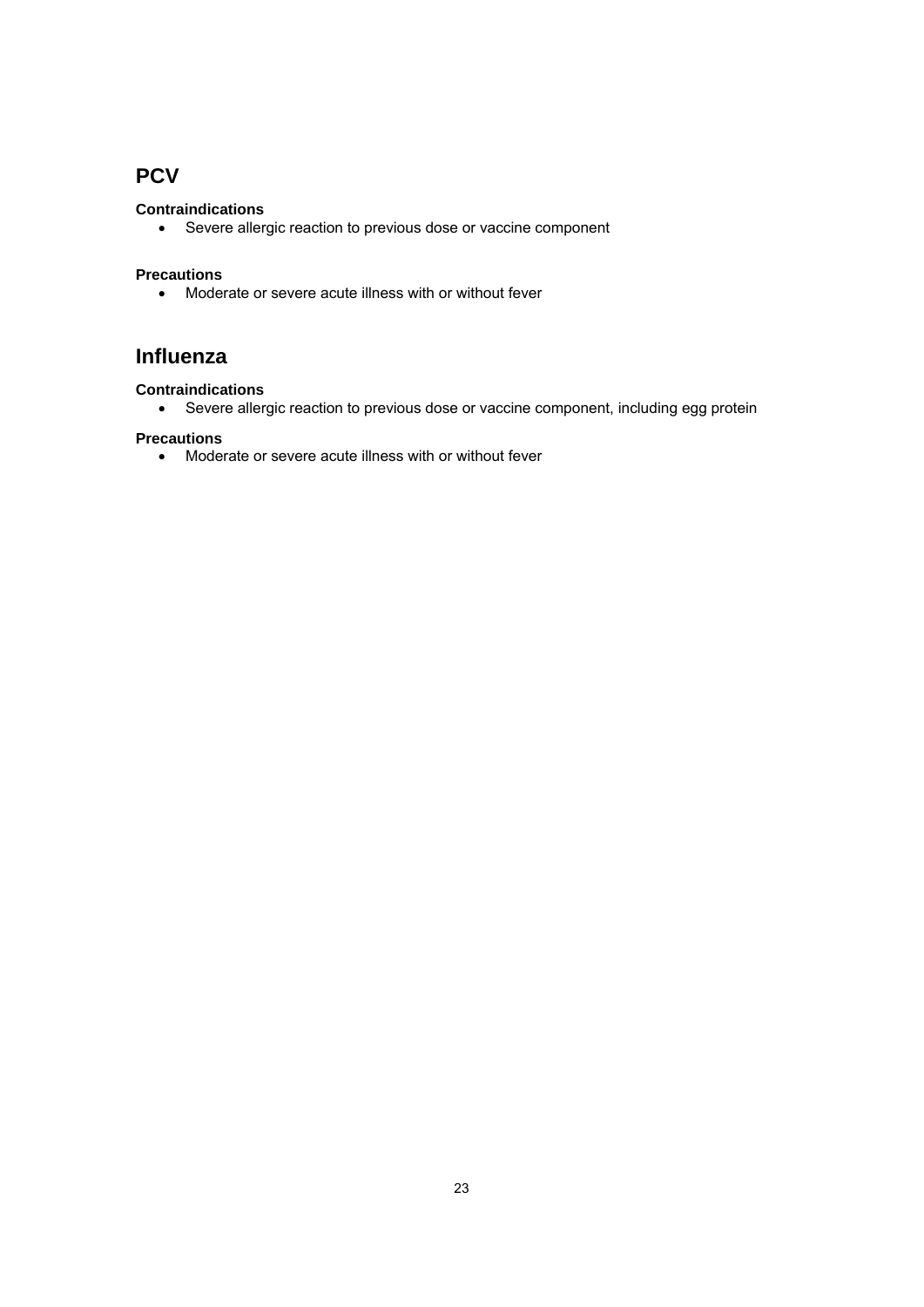### **PCV**

### **Contraindications**

Severe allergic reaction to previous dose or vaccine component

#### **Precautions**

Moderate or severe acute illness with or without fever

### **Influenza**

### **Contraindications**

Severe allergic reaction to previous dose or vaccine component, including egg protein

#### **Precautions**

Moderate or severe acute illness with or without fever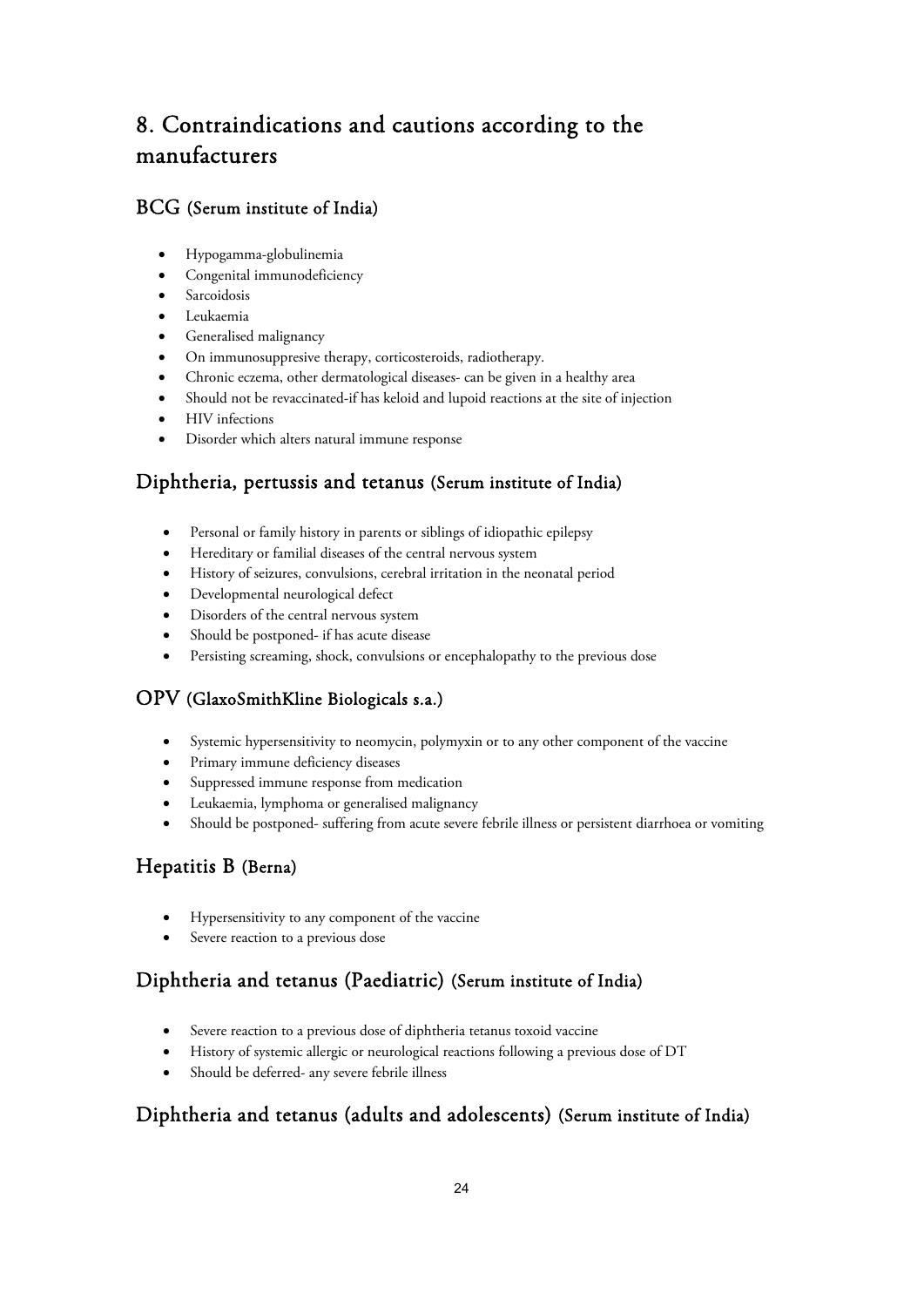# 8. Contraindications and cautions according to the manufacturers

### BCG (Serum institute of India)

- Hypogamma-globulinemia
- Congenital immunodeficiency
- Sarcoidosis
- Leukaemia
- Generalised malignancy
- On immunosuppresive therapy, corticosteroids, radiotherapy.
- Chronic eczema, other dermatological diseases- can be given in a healthy area
- Should not be revaccinated-if has keloid and lupoid reactions at the site of injection
- HIV infections
- Disorder which alters natural immune response

### Diphtheria, pertussis and tetanus (Serum institute of India)

- Personal or family history in parents or siblings of idiopathic epilepsy
- Hereditary or familial diseases of the central nervous system
- History of seizures, convulsions, cerebral irritation in the neonatal period
- Developmental neurological defect
- Disorders of the central nervous system
- Should be postponed- if has acute disease
- Persisting screaming, shock, convulsions or encephalopathy to the previous dose

### OPV (GlaxoSmithKline Biologicals s.a.)

- Systemic hypersensitivity to neomycin, polymyxin or to any other component of the vaccine
- Primary immune deficiency diseases
- Suppressed immune response from medication
- Leukaemia, lymphoma or generalised malignancy
- Should be postponed- suffering from acute severe febrile illness or persistent diarrhoea or vomiting

### Hepatitis B (Berna)

- Hypersensitivity to any component of the vaccine
- Severe reaction to a previous dose

### Diphtheria and tetanus (Paediatric) (Serum institute of India)

- Severe reaction to a previous dose of diphtheria tetanus toxoid vaccine
- History of systemic allergic or neurological reactions following a previous dose of DT
- Should be deferred- any severe febrile illness

### Diphtheria and tetanus (adults and adolescents) (Serum institute of India)